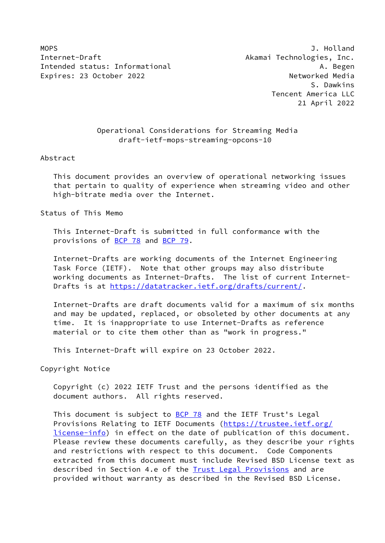MOPS **J. Holland** Internet-Draft **Akamai Technologies**, Inc. Intended status: Informational A. Begen Expires: 23 October 2022 and the experience of Networked Media

 S. Dawkins Tencent America LLC 21 April 2022

# Operational Considerations for Streaming Media draft-ietf-mops-streaming-opcons-10

#### Abstract

 This document provides an overview of operational networking issues that pertain to quality of experience when streaming video and other high-bitrate media over the Internet.

Status of This Memo

 This Internet-Draft is submitted in full conformance with the provisions of [BCP 78](https://datatracker.ietf.org/doc/pdf/bcp78) and [BCP 79](https://datatracker.ietf.org/doc/pdf/bcp79).

 Internet-Drafts are working documents of the Internet Engineering Task Force (IETF). Note that other groups may also distribute working documents as Internet-Drafts. The list of current Internet- Drafts is at<https://datatracker.ietf.org/drafts/current/>.

 Internet-Drafts are draft documents valid for a maximum of six months and may be updated, replaced, or obsoleted by other documents at any time. It is inappropriate to use Internet-Drafts as reference material or to cite them other than as "work in progress."

This Internet-Draft will expire on 23 October 2022.

Copyright Notice

 Copyright (c) 2022 IETF Trust and the persons identified as the document authors. All rights reserved.

This document is subject to [BCP 78](https://datatracker.ietf.org/doc/pdf/bcp78) and the IETF Trust's Legal Provisions Relating to IETF Documents ([https://trustee.ietf.org/](https://trustee.ietf.org/license-info) [license-info](https://trustee.ietf.org/license-info)) in effect on the date of publication of this document. Please review these documents carefully, as they describe your rights and restrictions with respect to this document. Code Components extracted from this document must include Revised BSD License text as described in Section 4.e of the **Trust Legal Provisions** and are provided without warranty as described in the Revised BSD License.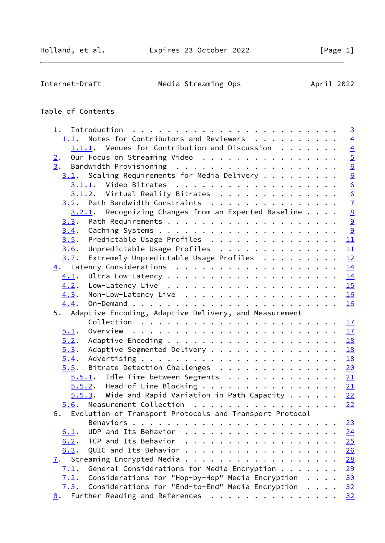Internet-Draft Media Streaming Ops April 2022

# Table of Contents

| 1.   |                                                                  |  | $\overline{3}$   |
|------|------------------------------------------------------------------|--|------------------|
|      | 1.1. Notes for Contributors and Reviewers                        |  | $\overline{4}$   |
|      | $1.1.1.$ Venues for Contribution and Discussion                  |  | $\frac{4}{5}$    |
| 2.   | Our Focus on Streaming Video                                     |  |                  |
|      |                                                                  |  | $6 \overline{6}$ |
|      | $3.1$ . Scaling Requirements for Media Delivery                  |  |                  |
|      |                                                                  |  | $\frac{6}{6}$    |
|      | $3.1.2$ . Virtual Reality Bitrates                               |  |                  |
|      | 3.2. Path Bandwidth Constraints                                  |  | $\frac{6}{7}$    |
|      | $3.2.1$ . Recognizing Changes from an Expected Baseline 8        |  |                  |
| 3.3. |                                                                  |  |                  |
| 3.4. |                                                                  |  |                  |
| 3.5. | Predictable Usage Profiles 11                                    |  |                  |
| 3.6. | Unpredictable Usage Profiles 11                                  |  |                  |
| 3.7. | Extremely Unpredictable Usage Profiles $\cdots \cdots \cdots$ 12 |  |                  |
|      |                                                                  |  |                  |
| 4.1. |                                                                  |  |                  |
| 4.2. |                                                                  |  |                  |
|      | $4.3.$ Non-Low-Latency Live 16                                   |  |                  |
| 4.4. |                                                                  |  |                  |
|      | 5. Adaptive Encoding, Adaptive Delivery, and Measurement         |  |                  |
|      |                                                                  |  |                  |
| 5.1. |                                                                  |  |                  |
| 5.2. |                                                                  |  |                  |
| 5.3. | Adaptive Segmented Delivery 18                                   |  |                  |
| 5.4. |                                                                  |  |                  |
| 5.5. | Bitrate Detection Challenges 20                                  |  |                  |
|      | $5.5.1$ . Idle Time between Segments 21                          |  |                  |
|      | $5.5.2$ . Head-of-Line Blocking 21                               |  |                  |
|      | $5.5.3$ . Wide and Rapid Variation in Path Capacity 22           |  |                  |
|      | 5.6. Measurement Collection 22                                   |  |                  |
| 6.   | Evolution of Transport Protocols and Transport Protocol          |  |                  |
|      |                                                                  |  | 23               |
| 6.1. | UDP and Its Behavior                                             |  | 24               |
| 6.2. | TCP and Its Behavior<br>.                                        |  | 25               |
| 6.3. | QUIC and Its Behavior                                            |  | 26               |
| 7.   | Streaming Encrypted Media                                        |  | 28               |
| 7.1. | General Considerations for Media Encryption $\ldots$             |  | 29               |
| 7.2. | Considerations for "Hop-by-Hop" Media Encryption                 |  | 30               |
| 7.3. | Considerations for "End-to-End" Media Encryption                 |  | 32               |
| 8.   | Further Reading and References                                   |  | 32               |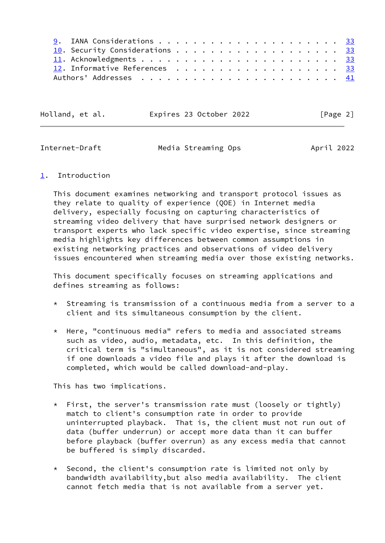|  | 10. Security Considerations 33 |  |  |  |  |  |  |  |  |  |  |
|--|--------------------------------|--|--|--|--|--|--|--|--|--|--|
|  |                                |  |  |  |  |  |  |  |  |  |  |
|  | 12. Informative References 33  |  |  |  |  |  |  |  |  |  |  |
|  |                                |  |  |  |  |  |  |  |  |  |  |

Holland, et al. **Expires 23 October 2022** [Page 2]

<span id="page-2-1"></span>Internet-Draft Media Streaming Ops April 2022

# <span id="page-2-0"></span>[1](#page-2-0). Introduction

 This document examines networking and transport protocol issues as they relate to quality of experience (QOE) in Internet media delivery, especially focusing on capturing characteristics of streaming video delivery that have surprised network designers or transport experts who lack specific video expertise, since streaming media highlights key differences between common assumptions in existing networking practices and observations of video delivery issues encountered when streaming media over those existing networks.

 This document specifically focuses on streaming applications and defines streaming as follows:

- \* Streaming is transmission of a continuous media from a server to a client and its simultaneous consumption by the client.
- \* Here, "continuous media" refers to media and associated streams such as video, audio, metadata, etc. In this definition, the critical term is "simultaneous", as it is not considered streaming if one downloads a video file and plays it after the download is completed, which would be called download-and-play.

This has two implications.

- \* First, the server's transmission rate must (loosely or tightly) match to client's consumption rate in order to provide uninterrupted playback. That is, the client must not run out of data (buffer underrun) or accept more data than it can buffer before playback (buffer overrun) as any excess media that cannot be buffered is simply discarded.
- \* Second, the client's consumption rate is limited not only by bandwidth availability,but also media availability. The client cannot fetch media that is not available from a server yet.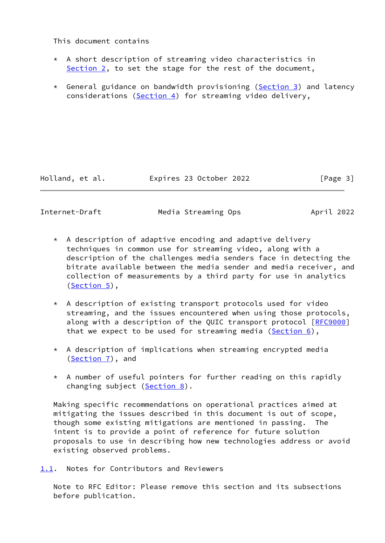## This document contains

- $*$  A short description of streaming video characteristics in [Section 2,](#page-4-1) to set the stage for the rest of the document,
- \* General guidance on bandwidth provisioning ([Section 3\)](#page-5-0) and latency considerations ( $Section 4$ ) for streaming video delivery.

Holland, et al. Expires 23 October 2022 [Page 3]

<span id="page-3-1"></span>Internet-Draft Media Streaming Ops April 2022

- \* A description of adaptive encoding and adaptive delivery techniques in common use for streaming video, along with a description of the challenges media senders face in detecting the bitrate available between the media sender and media receiver, and collection of measurements by a third party for use in analytics ([Section 5\)](#page-18-2),
- \* A description of existing transport protocols used for video streaming, and the issues encountered when using those protocols, along with a description of the QUIC transport protocol [[RFC9000\]](https://datatracker.ietf.org/doc/pdf/rfc9000) that we expect to be used for streaming media ( $Section 6$ ),
- \* A description of implications when streaming encrypted media ([Section 7\)](#page-31-0), and
- \* A number of useful pointers for further reading on this rapidly changing subject [\(Section 8](#page-35-2)).

 Making specific recommendations on operational practices aimed at mitigating the issues described in this document is out of scope, though some existing mitigations are mentioned in passing. The intent is to provide a point of reference for future solution proposals to use in describing how new technologies address or avoid existing observed problems.

<span id="page-3-0"></span>[1.1](#page-3-0). Notes for Contributors and Reviewers

 Note to RFC Editor: Please remove this section and its subsections before publication.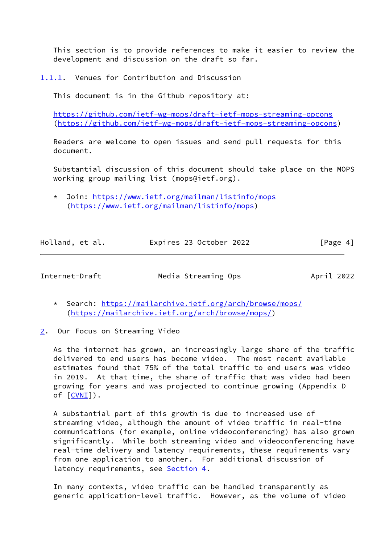This section is to provide references to make it easier to review the development and discussion on the draft so far.

<span id="page-4-0"></span>[1.1.1](#page-4-0). Venues for Contribution and Discussion

This document is in the Github repository at:

 <https://github.com/ietf-wg-mops/draft-ietf-mops-streaming-opcons> [\(https://github.com/ietf-wg-mops/draft-ietf-mops-streaming-opcons](https://github.com/ietf-wg-mops/draft-ietf-mops-streaming-opcons))

 Readers are welcome to open issues and send pull requests for this document.

 Substantial discussion of this document should take place on the MOPS working group mailing list (mops@ietf.org).

 \* Join:<https://www.ietf.org/mailman/listinfo/mops> ([https://www.ietf.org/mailman/listinfo/mops\)](https://www.ietf.org/mailman/listinfo/mops)

| Holland, et al. | Expires 23 October 2022 |  | [Page 4] |
|-----------------|-------------------------|--|----------|
|                 |                         |  |          |

<span id="page-4-2"></span>

Internet-Draft Media Streaming Ops April 2022

- \* Search: <https://mailarchive.ietf.org/arch/browse/mops/> (<https://mailarchive.ietf.org/arch/browse/mops/>)
- <span id="page-4-1"></span>[2](#page-4-1). Our Focus on Streaming Video

 As the internet has grown, an increasingly large share of the traffic delivered to end users has become video. The most recent available estimates found that 75% of the total traffic to end users was video in 2019. At that time, the share of traffic that was video had been growing for years and was projected to continue growing (Appendix D of [[CVNI\]](#page-37-0)).

 A substantial part of this growth is due to increased use of streaming video, although the amount of video traffic in real-time communications (for example, online videoconferencing) has also grown significantly. While both streaming video and videoconferencing have real-time delivery and latency requirements, these requirements vary from one application to another. For additional discussion of latency requirements, see [Section 4.](#page-14-0)

 In many contexts, video traffic can be handled transparently as generic application-level traffic. However, as the volume of video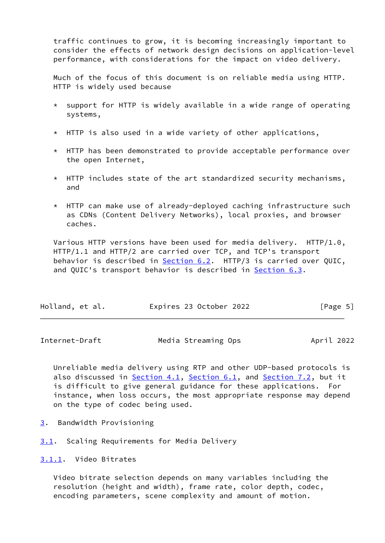traffic continues to grow, it is becoming increasingly important to consider the effects of network design decisions on application-level performance, with considerations for the impact on video delivery.

 Much of the focus of this document is on reliable media using HTTP. HTTP is widely used because

- $*$  support for HTTP is widely available in a wide range of operating systems,
- $*$  HTTP is also used in a wide variety of other applications,
- \* HTTP has been demonstrated to provide acceptable performance over the open Internet,
- \* HTTP includes state of the art standardized security mechanisms, and
- \* HTTP can make use of already-deployed caching infrastructure such as CDNs (Content Delivery Networks), local proxies, and browser caches.

 Various HTTP versions have been used for media delivery. HTTP/1.0, HTTP/1.1 and HTTP/2 are carried over TCP, and TCP's transport behavior is described in [Section 6.2](#page-27-0). HTTP/3 is carried over QUIC, and QUIC's transport behavior is described in **Section 6.3**.

| Holland, et al. | Expires 23 October 2022 | [Page 5] |
|-----------------|-------------------------|----------|
|-----------------|-------------------------|----------|

<span id="page-5-1"></span>Internet-Draft Media Streaming Ops April 2022

 Unreliable media delivery using RTP and other UDP-based protocols is also discussed in [Section 4.1](#page-15-0), [Section 6.1](#page-26-0), and [Section 7.2](#page-33-0), but it is difficult to give general guidance for these applications. For instance, when loss occurs, the most appropriate response may depend on the type of codec being used.

- <span id="page-5-0"></span>[3](#page-5-0). Bandwidth Provisioning
- <span id="page-5-2"></span>[3.1](#page-5-2). Scaling Requirements for Media Delivery

<span id="page-5-3"></span>[3.1.1](#page-5-3). Video Bitrates

 Video bitrate selection depends on many variables including the resolution (height and width), frame rate, color depth, codec, encoding parameters, scene complexity and amount of motion.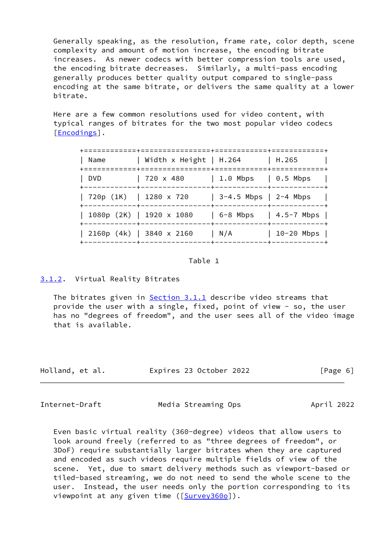Generally speaking, as the resolution, frame rate, color depth, scene complexity and amount of motion increase, the encoding bitrate increases. As newer codecs with better compression tools are used, the encoding bitrate decreases. Similarly, a multi-pass encoding generally produces better quality output compared to single-pass encoding at the same bitrate, or delivers the same quality at a lower bitrate.

 Here are a few common resolutions used for video content, with typical ranges of bitrates for the two most popular video codecs [\[Encodings](#page-37-1)].

| Name                   | Width x Height   H.264                                          |                                                                      | H.265                     |
|------------------------|-----------------------------------------------------------------|----------------------------------------------------------------------|---------------------------|
| DVD                    | $720 \times 480$<br>------+-----------                          | $\vert$ 1.0 Mbps $\vert$ 0.5 Mbps<br>-----+------------+------------ |                           |
| 720p (1K)   1280 x 720 |                                                                 | 3-4.5 Mbps   2-4 Mbps                                                |                           |
|                        | 1080p (2K)   1920 x 1080                                        |                                                                      | $6-8$ Mbps   $4.5-7$ Mbps |
|                        | 2160p (4k)   3840 x 2160<br>------------+-----------------+---- | N/A                                                                  | $10-20$ Mbps              |

### Table 1

# <span id="page-6-0"></span>[3.1.2](#page-6-0). Virtual Reality Bitrates

The bitrates given in **Section 3.1.1** describe video streams that provide the user with a single, fixed, point of view - so, the user has no "degrees of freedom", and the user sees all of the video image that is available.

| Holland, et al. | Expires 23 October 2022 | [Page 6] |
|-----------------|-------------------------|----------|
|-----------------|-------------------------|----------|

<span id="page-6-1"></span>Internet-Draft Media Streaming Ops April 2022

 Even basic virtual reality (360-degree) videos that allow users to look around freely (referred to as "three degrees of freedom", or 3DoF) require substantially larger bitrates when they are captured and encoded as such videos require multiple fields of view of the scene. Yet, due to smart delivery methods such as viewport-based or tiled-based streaming, we do not need to send the whole scene to the user. Instead, the user needs only the portion corresponding to its viewpoint at any given time ([\[Survey360o\]](#page-45-1)).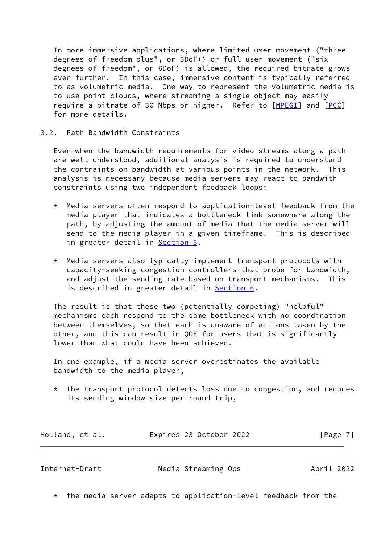In more immersive applications, where limited user movement ("three degrees of freedom plus", or 3DoF+) or full user movement ("six degrees of freedom", or 6DoF) is allowed, the required bitrate grows even further. In this case, immersive content is typically referred to as volumetric media. One way to represent the volumetric media is to use point clouds, where streaming a single object may easily require a bitrate of 30 Mbps or higher. Refer to [[MPEGI\]](#page-41-0) and [[PCC](#page-41-1)] for more details.

# <span id="page-7-0"></span>[3.2](#page-7-0). Path Bandwidth Constraints

 Even when the bandwidth requirements for video streams along a path are well understood, additional analysis is required to understand the contraints on bandwidth at various points in the network. This analysis is necessary because media servers may react to bandwith constraints using two independent feedback loops:

- $*$  Media servers often respond to application-level feedback from the media player that indicates a bottleneck link somewhere along the path, by adjusting the amount of media that the media server will send to the media player in a given timeframe. This is described in greater detail in **Section 5.**
- \* Media servers also typically implement transport protocols with capacity-seeking congestion controllers that probe for bandwidth, and adjust the sending rate based on transport mechanisms. This is described in greater detail in [Section 6](#page-25-0).

 The result is that these two (potentially competing) "helpful" mechanisms each respond to the same bottleneck with no coordination between themselves, so that each is unaware of actions taken by the other, and this can result in QOE for users that is significantly lower than what could have been achieved.

 In one example, if a media server overestimates the available bandwidth to the media player,

the transport protocol detects loss due to congestion, and reduces its sending window size per round trip,

| Holland, et al. | Expires 23 October 2022 | [Page 7] |
|-----------------|-------------------------|----------|
|-----------------|-------------------------|----------|

<span id="page-7-1"></span>

| Internet-Draft | Media Streaming Ops | April 2022 |
|----------------|---------------------|------------|
|                |                     |            |

\* the media server adapts to application-level feedback from the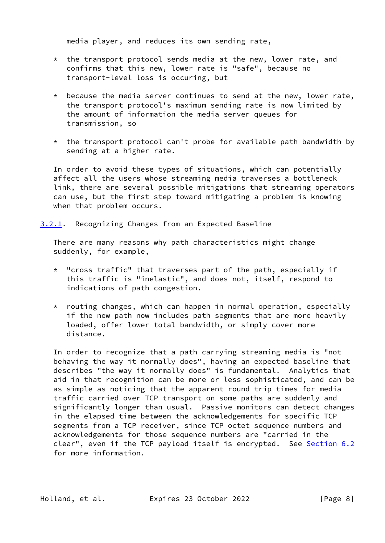media player, and reduces its own sending rate,

- $*$  the transport protocol sends media at the new, lower rate, and confirms that this new, lower rate is "safe", because no transport-level loss is occuring, but
- $*$  because the media server continues to send at the new, lower rate, the transport protocol's maximum sending rate is now limited by the amount of information the media server queues for transmission, so
- \* the transport protocol can't probe for available path bandwidth by sending at a higher rate.

 In order to avoid these types of situations, which can potentially affect all the users whose streaming media traverses a bottleneck link, there are several possible mitigations that streaming operators can use, but the first step toward mitigating a problem is knowing when that problem occurs.

<span id="page-8-0"></span>[3.2.1](#page-8-0). Recognizing Changes from an Expected Baseline

 There are many reasons why path characteristics might change suddenly, for example,

- \* "cross traffic" that traverses part of the path, especially if this traffic is "inelastic", and does not, itself, respond to indications of path congestion.
- \* routing changes, which can happen in normal operation, especially if the new path now includes path segments that are more heavily loaded, offer lower total bandwidth, or simply cover more distance.

 In order to recognize that a path carrying streaming media is "not behaving the way it normally does", having an expected baseline that describes "the way it normally does" is fundamental. Analytics that aid in that recognition can be more or less sophisticated, and can be as simple as noticing that the apparent round trip times for media traffic carried over TCP transport on some paths are suddenly and significantly longer than usual. Passive monitors can detect changes in the elapsed time between the acknowledgements for specific TCP segments from a TCP receiver, since TCP octet sequence numbers and acknowledgements for those sequence numbers are "carried in the clear", even if the TCP payload itself is encrypted. See [Section 6.2](#page-27-0) for more information.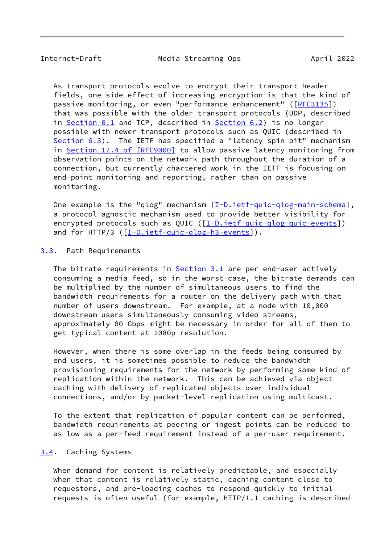<span id="page-9-1"></span>Internet-Draft Media Streaming Ops April 2022

 As transport protocols evolve to encrypt their transport header fields, one side effect of increasing encryption is that the kind of passive monitoring, or even "performance enhancement" ([\[RFC3135](https://datatracker.ietf.org/doc/pdf/rfc3135)]) that was possible with the older transport protocols (UDP, described in [Section 6.1](#page-26-0) and TCP, described in [Section 6.2](#page-27-0)) is no longer possible with newer transport protocols such as QUIC (described in [Section 6.3](#page-29-0)). The IETF has specified a "latency spin bit" mechanism in Section [17.4 of \[RFC9000\]](https://datatracker.ietf.org/doc/pdf/rfc9000#section-17.4) to allow passive latency monitoring from observation points on the network path throughout the duration of a connection, but currently chartered work in the IETF is focusing on end-point monitoring and reporting, rather than on passive monitoring.

One example is the "qlog" mechanism [\[I-D.ietf-quic-qlog-main-schema](#page-39-0)], a protocol-agnostic mechanism used to provide better visibility for encrypted protocols such as QUIC ([[I-D.ietf-quic-qlog-quic-events](#page-39-1)]) and for HTTP/3 ([\[I-D.ietf-quic-qlog-h3-events](#page-39-2)]).

# <span id="page-9-0"></span>[3.3](#page-9-0). Path Requirements

 The bitrate requirements in [Section 3.1](#page-5-2) are per end-user actively consuming a media feed, so in the worst case, the bitrate demands can be multiplied by the number of simultaneous users to find the bandwidth requirements for a router on the delivery path with that number of users downstream. For example, at a node with 10,000 downstream users simultaneously consuming video streams, approximately 80 Gbps might be necessary in order for all of them to get typical content at 1080p resolution.

 However, when there is some overlap in the feeds being consumed by end users, it is sometimes possible to reduce the bandwidth provisioning requirements for the network by performing some kind of replication within the network. This can be achieved via object caching with delivery of replicated objects over individual connections, and/or by packet-level replication using multicast.

 To the extent that replication of popular content can be performed, bandwidth requirements at peering or ingest points can be reduced to as low as a per-feed requirement instead of a per-user requirement.

#### <span id="page-9-2"></span>[3.4](#page-9-2). Caching Systems

 When demand for content is relatively predictable, and especially when that content is relatively static, caching content close to requesters, and pre-loading caches to respond quickly to initial requests is often useful (for example, HTTP/1.1 caching is described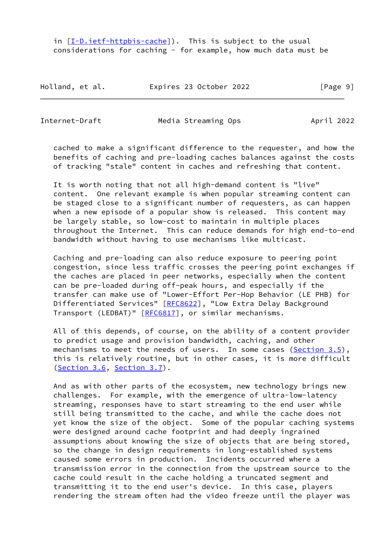in [[I-D.ietf-httpbis-cache](#page-38-0)]). This is subject to the usual considerations for caching - for example, how much data must be

Holland, et al. Expires 23 October 2022 [Page 9]

Internet-Draft Media Streaming Ops April 2022

 cached to make a significant difference to the requester, and how the benefits of caching and pre-loading caches balances against the costs of tracking "stale" content in caches and refreshing that content.

 It is worth noting that not all high-demand content is "live" content. One relevant example is when popular streaming content can be staged close to a significant number of requesters, as can happen when a new episode of a popular show is released. This content may be largely stable, so low-cost to maintain in multiple places throughout the Internet. This can reduce demands for high end-to-end bandwidth without having to use mechanisms like multicast.

 Caching and pre-loading can also reduce exposure to peering point congestion, since less traffic crosses the peering point exchanges if the caches are placed in peer networks, especially when the content can be pre-loaded during off-peak hours, and especially if the transfer can make use of "Lower-Effort Per-Hop Behavior (LE PHB) for Differentiated Services" [\[RFC8622](https://datatracker.ietf.org/doc/pdf/rfc8622)], "Low Extra Delay Background Transport (LEDBAT)" [\[RFC6817](https://datatracker.ietf.org/doc/pdf/rfc6817)], or similar mechanisms.

 All of this depends, of course, on the ability of a content provider to predict usage and provision bandwidth, caching, and other mechanisms to meet the needs of users. In some cases  $(Section 3.5)$  $(Section 3.5)$  $(Section 3.5)$ , this is relatively routine, but in other cases, it is more difficult [\(Section 3.6](#page-11-2), [Section 3.7](#page-12-0)).

 And as with other parts of the ecosystem, new technology brings new challenges. For example, with the emergence of ultra-low-latency streaming, responses have to start streaming to the end user while still being transmitted to the cache, and while the cache does not yet know the size of the object. Some of the popular caching systems were designed around cache footprint and had deeply ingrained assumptions about knowing the size of objects that are being stored, so the change in design requirements in long-established systems caused some errors in production. Incidents occurred where a transmission error in the connection from the upstream source to the cache could result in the cache holding a truncated segment and transmitting it to the end user's device. In this case, players rendering the stream often had the video freeze until the player was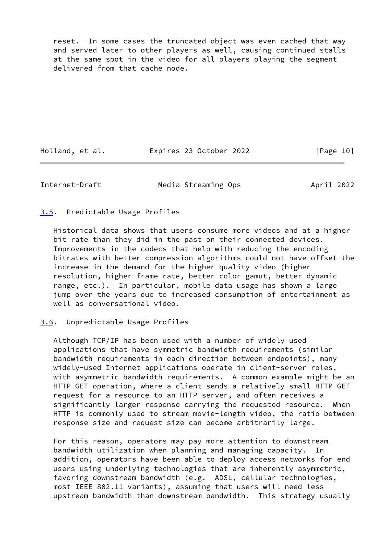reset. In some cases the truncated object was even cached that way and served later to other players as well, causing continued stalls at the same spot in the video for all players playing the segment delivered from that cache node.

Holland, et al. **Expires 23 October 2022** [Page 10]

<span id="page-11-1"></span>Internet-Draft Media Streaming Ops April 2022

<span id="page-11-0"></span>[3.5](#page-11-0). Predictable Usage Profiles

 Historical data shows that users consume more videos and at a higher bit rate than they did in the past on their connected devices. Improvements in the codecs that help with reducing the encoding bitrates with better compression algorithms could not have offset the increase in the demand for the higher quality video (higher resolution, higher frame rate, better color gamut, better dynamic range, etc.). In particular, mobile data usage has shown a large jump over the years due to increased consumption of entertainment as well as conversational video.

<span id="page-11-2"></span>[3.6](#page-11-2). Unpredictable Usage Profiles

 Although TCP/IP has been used with a number of widely used applications that have symmetric bandwidth requirements (similar bandwidth requirements in each direction between endpoints), many widely-used Internet applications operate in client-server roles, with asymmetric bandwidth requirements. A common example might be an HTTP GET operation, where a client sends a relatively small HTTP GET request for a resource to an HTTP server, and often receives a significantly larger response carrying the requested resource. When HTTP is commonly used to stream movie-length video, the ratio between response size and request size can become arbitrarily large.

 For this reason, operators may pay more attention to downstream bandwidth utilization when planning and managing capacity. In addition, operators have been able to deploy access networks for end users using underlying technologies that are inherently asymmetric, favoring downstream bandwidth (e.g. ADSL, cellular technologies, most IEEE 802.11 variants), assuming that users will need less upstream bandwidth than downstream bandwidth. This strategy usually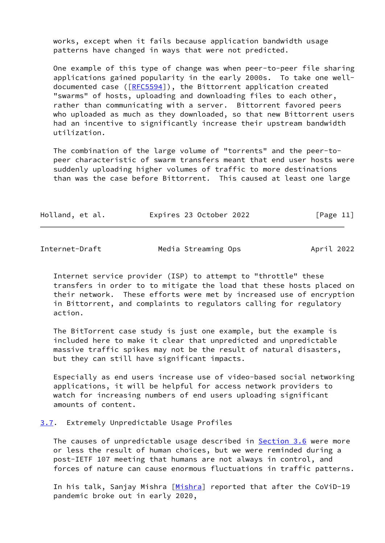works, except when it fails because application bandwidth usage patterns have changed in ways that were not predicted.

 One example of this type of change was when peer-to-peer file sharing applications gained popularity in the early 2000s. To take one well- documented case ([\[RFC5594](https://datatracker.ietf.org/doc/pdf/rfc5594)]), the Bittorrent application created "swarms" of hosts, uploading and downloading files to each other, rather than communicating with a server. Bittorrent favored peers who uploaded as much as they downloaded, so that new Bittorrent users had an incentive to significantly increase their upstream bandwidth utilization.

 The combination of the large volume of "torrents" and the peer-to peer characteristic of swarm transfers meant that end user hosts were suddenly uploading higher volumes of traffic to more destinations than was the case before Bittorrent. This caused at least one large

| Holland, et al. | Expires 23 October 2022 | [Page 11] |
|-----------------|-------------------------|-----------|
|-----------------|-------------------------|-----------|

<span id="page-12-1"></span>Internet-Draft Media Streaming Ops April 2022

 Internet service provider (ISP) to attempt to "throttle" these transfers in order to to mitigate the load that these hosts placed on their network. These efforts were met by increased use of encryption in Bittorrent, and complaints to regulators calling for regulatory action.

 The BitTorrent case study is just one example, but the example is included here to make it clear that unpredicted and unpredictable massive traffic spikes may not be the result of natural disasters, but they can still have significant impacts.

 Especially as end users increase use of video-based social networking applications, it will be helpful for access network providers to watch for increasing numbers of end users uploading significant amounts of content.

#### <span id="page-12-0"></span>[3.7](#page-12-0). Extremely Unpredictable Usage Profiles

The causes of unpredictable usage described in [Section 3.6](#page-11-2) were more or less the result of human choices, but we were reminded during a post-IETF 107 meeting that humans are not always in control, and forces of nature can cause enormous fluctuations in traffic patterns.

In his talk, Sanjay [Mishra](#page-40-0) [Mishra] reported that after the CoViD-19 pandemic broke out in early 2020,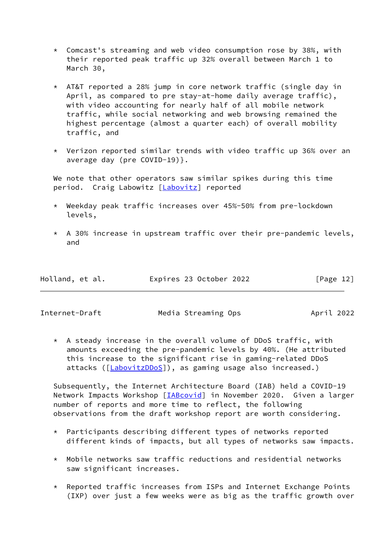- \* Comcast's streaming and web video consumption rose by 38%, with their reported peak traffic up 32% overall between March 1 to March 30,
- \* AT&T reported a 28% jump in core network traffic (single day in April, as compared to pre stay-at-home daily average traffic), with video accounting for nearly half of all mobile network traffic, while social networking and web browsing remained the highest percentage (almost a quarter each) of overall mobility traffic, and
- \* Verizon reported similar trends with video traffic up 36% over an average day (pre COVID-19)}.

 We note that other operators saw similar spikes during this time period. Craig Labowitz [\[Labovitz](#page-39-3)] reported

- \* Weekday peak traffic increases over 45%-50% from pre-lockdown levels,
- $*$  A 30% increase in upstream traffic over their pre-pandemic levels, and

| Holland, et al. | Expires 23 October 2022 | [Page 12] |
|-----------------|-------------------------|-----------|
|                 |                         |           |

Internet-Draft Media Streaming Ops April 2022

 \* A steady increase in the overall volume of DDoS traffic, with amounts exceeding the pre-pandemic levels by 40%. (He attributed this increase to the significant rise in gaming-related DDoS attacks ([\[LabovitzDDoS](#page-40-1)]), as gaming usage also increased.)

 Subsequently, the Internet Architecture Board (IAB) held a COVID-19 Network Impacts Workshop [*IABcovid*] in November 2020. Given a larger number of reports and more time to reflect, the following observations from the draft workshop report are worth considering.

- \* Participants describing different types of networks reported different kinds of impacts, but all types of networks saw impacts.
- $*$  Mobile networks saw traffic reductions and residential networks saw significant increases.
- \* Reported traffic increases from ISPs and Internet Exchange Points (IXP) over just a few weeks were as big as the traffic growth over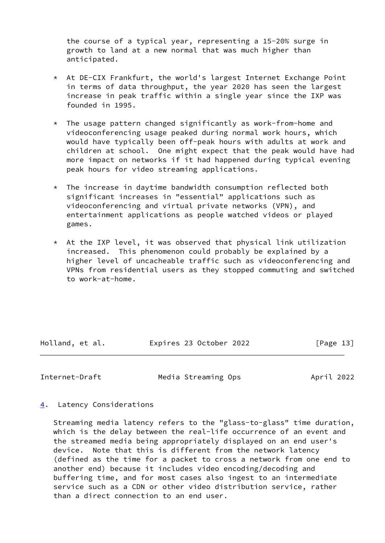the course of a typical year, representing a 15-20% surge in growth to land at a new normal that was much higher than anticipated.

- \* At DE-CIX Frankfurt, the world's largest Internet Exchange Point in terms of data throughput, the year 2020 has seen the largest increase in peak traffic within a single year since the IXP was founded in 1995.
- \* The usage pattern changed significantly as work-from-home and videoconferencing usage peaked during normal work hours, which would have typically been off-peak hours with adults at work and children at school. One might expect that the peak would have had more impact on networks if it had happened during typical evening peak hours for video streaming applications.
- $*$  The increase in daytime bandwidth consumption reflected both significant increases in "essential" applications such as videoconferencing and virtual private networks (VPN), and entertainment applications as people watched videos or played games.
- $*$  At the IXP level, it was observed that physical link utilization increased. This phenomenon could probably be explained by a higher level of uncacheable traffic such as videoconferencing and VPNs from residential users as they stopped commuting and switched to work-at-home.

Holland, et al. **Expires 23 October 2022** [Page 13]

<span id="page-14-1"></span>Internet-Draft Media Streaming Ops April 2022

<span id="page-14-0"></span>[4](#page-14-0). Latency Considerations

 Streaming media latency refers to the "glass-to-glass" time duration, which is the delay between the real-life occurrence of an event and the streamed media being appropriately displayed on an end user's device. Note that this is different from the network latency (defined as the time for a packet to cross a network from one end to another end) because it includes video encoding/decoding and buffering time, and for most cases also ingest to an intermediate service such as a CDN or other video distribution service, rather than a direct connection to an end user.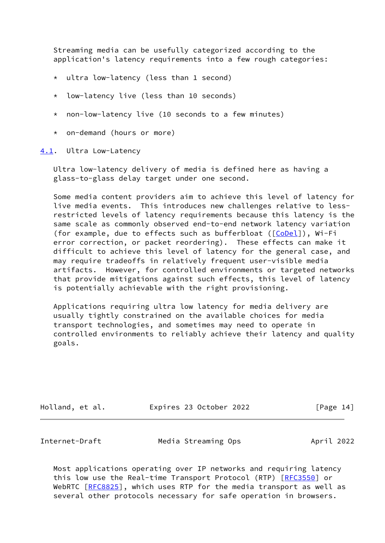Streaming media can be usefully categorized according to the application's latency requirements into a few rough categories:

- \* ultra low-latency (less than 1 second)
- \* low-latency live (less than 10 seconds)
- \* non-low-latency live (10 seconds to a few minutes)
- \* on-demand (hours or more)

<span id="page-15-0"></span>[4.1](#page-15-0). Ultra Low-Latency

 Ultra low-latency delivery of media is defined here as having a glass-to-glass delay target under one second.

 Some media content providers aim to achieve this level of latency for live media events. This introduces new challenges relative to less restricted levels of latency requirements because this latency is the same scale as commonly observed end-to-end network latency variation (for example, due to effects such as bufferbloat ([[CoDel\]](#page-37-2)), Wi-Fi error correction, or packet reordering). These effects can make it difficult to achieve this level of latency for the general case, and may require tradeoffs in relatively frequent user-visible media artifacts. However, for controlled environments or targeted networks that provide mitigations against such effects, this level of latency is potentially achievable with the right provisioning.

 Applications requiring ultra low latency for media delivery are usually tightly constrained on the available choices for media transport technologies, and sometimes may need to operate in controlled environments to reliably achieve their latency and quality goals.

| Holland, et al. | Expires 23 October 2022 | [Page 14] |
|-----------------|-------------------------|-----------|
|-----------------|-------------------------|-----------|

<span id="page-15-1"></span>

Internet-Draft Media Streaming Ops April 2022

 Most applications operating over IP networks and requiring latency this low use the Real-time Transport Protocol (RTP) [\[RFC3550](https://datatracker.ietf.org/doc/pdf/rfc3550)] or WebRTC [\[RFC8825](https://datatracker.ietf.org/doc/pdf/rfc8825)], which uses RTP for the media transport as well as several other protocols necessary for safe operation in browsers.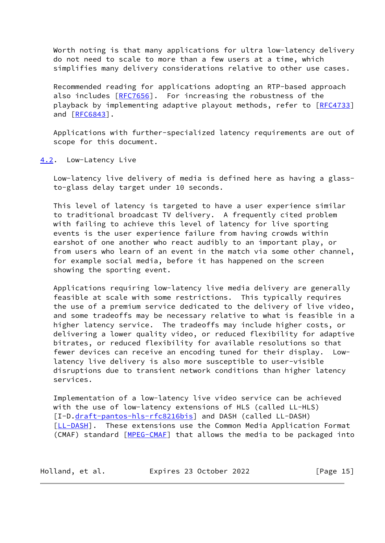Worth noting is that many applications for ultra low-latency delivery do not need to scale to more than a few users at a time, which simplifies many delivery considerations relative to other use cases.

 Recommended reading for applications adopting an RTP-based approach also includes [[RFC7656](https://datatracker.ietf.org/doc/pdf/rfc7656)]. For increasing the robustness of the playback by implementing adaptive playout methods, refer to [\[RFC4733](https://datatracker.ietf.org/doc/pdf/rfc4733)] and [\[RFC6843](https://datatracker.ietf.org/doc/pdf/rfc6843)].

 Applications with further-specialized latency requirements are out of scope for this document.

<span id="page-16-0"></span>[4.2](#page-16-0). Low-Latency Live

 Low-latency live delivery of media is defined here as having a glass to-glass delay target under 10 seconds.

 This level of latency is targeted to have a user experience similar to traditional broadcast TV delivery. A frequently cited problem with failing to achieve this level of latency for live sporting events is the user experience failure from having crowds within earshot of one another who react audibly to an important play, or from users who learn of an event in the match via some other channel, for example social media, before it has happened on the screen showing the sporting event.

 Applications requiring low-latency live media delivery are generally feasible at scale with some restrictions. This typically requires the use of a premium service dedicated to the delivery of live video, and some tradeoffs may be necessary relative to what is feasible in a higher latency service. The tradeoffs may include higher costs, or delivering a lower quality video, or reduced flexibility for adaptive bitrates, or reduced flexibility for available resolutions so that fewer devices can receive an encoding tuned for their display. Low latency live delivery is also more susceptible to user-visible disruptions due to transient network conditions than higher latency services.

 Implementation of a low-latency live video service can be achieved with the use of low-latency extensions of HLS (called LL-HLS) [I-D[.draft-pantos-hls-rfc8216bis](https://datatracker.ietf.org/doc/pdf/draft-pantos-hls-rfc8216bis)] and DASH (called LL-DASH) [\[LL-DASH](#page-40-2)]. These extensions use the Common Media Application Format (CMAF) standard [\[MPEG-CMAF](#page-40-3)] that allows the media to be packaged into

| Holland, et al. | Expires 23 October 2022 | [Page 15] |
|-----------------|-------------------------|-----------|
|-----------------|-------------------------|-----------|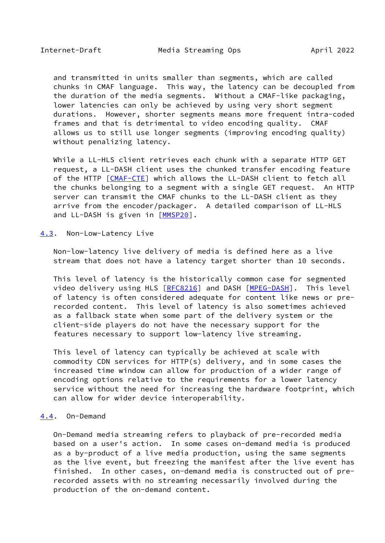<span id="page-17-1"></span> and transmitted in units smaller than segments, which are called chunks in CMAF language. This way, the latency can be decoupled from the duration of the media segments. Without a CMAF-like packaging, lower latencies can only be achieved by using very short segment durations. However, shorter segments means more frequent intra-coded frames and that is detrimental to video encoding quality. CMAF allows us to still use longer segments (improving encoding quality) without penalizing latency.

 While a LL-HLS client retrieves each chunk with a separate HTTP GET request, a LL-DASH client uses the chunked transfer encoding feature of the HTTP [\[CMAF-CTE](#page-37-3)] which allows the LL-DASH client to fetch all the chunks belonging to a segment with a single GET request. An HTTP server can transmit the CMAF chunks to the LL-DASH client as they arrive from the encoder/packager. A detailed comparison of LL-HLS and LL-DASH is given in [\[MMSP20](#page-40-4)].

<span id="page-17-0"></span>[4.3](#page-17-0). Non-Low-Latency Live

 Non-low-latency live delivery of media is defined here as a live stream that does not have a latency target shorter than 10 seconds.

 This level of latency is the historically common case for segmented video delivery using HLS [\[RFC8216](https://datatracker.ietf.org/doc/pdf/rfc8216)] and DASH [\[MPEG-DASH](#page-40-5)]. This level of latency is often considered adequate for content like news or pre recorded content. This level of latency is also sometimes achieved as a fallback state when some part of the delivery system or the client-side players do not have the necessary support for the features necessary to support low-latency live streaming.

 This level of latency can typically be achieved at scale with commodity CDN services for HTTP(s) delivery, and in some cases the increased time window can allow for production of a wider range of encoding options relative to the requirements for a lower latency service without the need for increasing the hardware footprint, which can allow for wider device interoperability.

#### <span id="page-17-2"></span>[4.4](#page-17-2). On-Demand

 On-Demand media streaming refers to playback of pre-recorded media based on a user's action. In some cases on-demand media is produced as a by-product of a live media production, using the same segments as the live event, but freezing the manifest after the live event has finished. In other cases, on-demand media is constructed out of pre recorded assets with no streaming necessarily involved during the production of the on-demand content.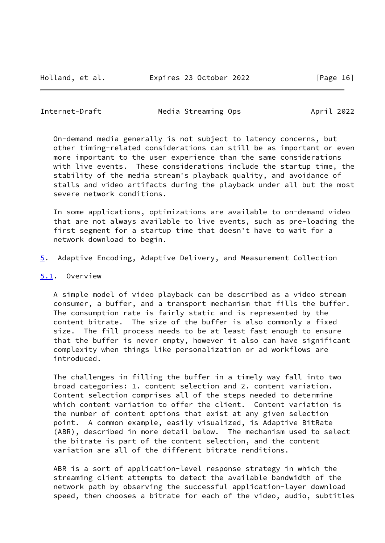<span id="page-18-0"></span>Internet-Draft Media Streaming Ops April 2022

 On-demand media generally is not subject to latency concerns, but other timing-related considerations can still be as important or even more important to the user experience than the same considerations with live events. These considerations include the startup time, the stability of the media stream's playback quality, and avoidance of stalls and video artifacts during the playback under all but the most severe network conditions.

 In some applications, optimizations are available to on-demand video that are not always available to live events, such as pre-loading the first segment for a startup time that doesn't have to wait for a network download to begin.

<span id="page-18-2"></span>[5](#page-18-2). Adaptive Encoding, Adaptive Delivery, and Measurement Collection

### <span id="page-18-1"></span>[5.1](#page-18-1). Overview

 A simple model of video playback can be described as a video stream consumer, a buffer, and a transport mechanism that fills the buffer. The consumption rate is fairly static and is represented by the content bitrate. The size of the buffer is also commonly a fixed size. The fill process needs to be at least fast enough to ensure that the buffer is never empty, however it also can have significant complexity when things like personalization or ad workflows are introduced.

 The challenges in filling the buffer in a timely way fall into two broad categories: 1. content selection and 2. content variation. Content selection comprises all of the steps needed to determine which content variation to offer the client. Content variation is the number of content options that exist at any given selection point. A common example, easily visualized, is Adaptive BitRate (ABR), described in more detail below. The mechanism used to select the bitrate is part of the content selection, and the content variation are all of the different bitrate renditions.

 ABR is a sort of application-level response strategy in which the streaming client attempts to detect the available bandwidth of the network path by observing the successful application-layer download speed, then chooses a bitrate for each of the video, audio, subtitles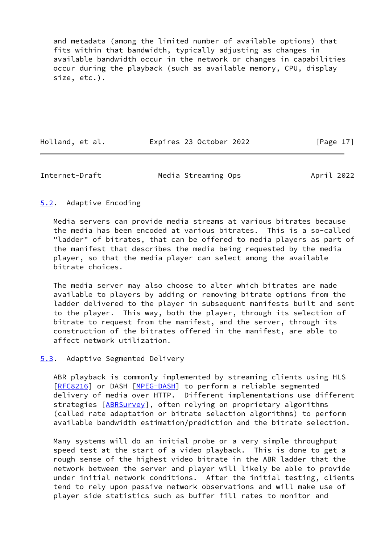and metadata (among the limited number of available options) that fits within that bandwidth, typically adjusting as changes in available bandwidth occur in the network or changes in capabilities occur during the playback (such as available memory, CPU, display size, etc.).

Holland, et al. **Expires 23 October 2022** [Page 17]

<span id="page-19-1"></span>Internet-Draft Media Streaming Ops April 2022

# <span id="page-19-0"></span>[5.2](#page-19-0). Adaptive Encoding

 Media servers can provide media streams at various bitrates because the media has been encoded at various bitrates. This is a so-called "ladder" of bitrates, that can be offered to media players as part of the manifest that describes the media being requested by the media player, so that the media player can select among the available bitrate choices.

 The media server may also choose to alter which bitrates are made available to players by adding or removing bitrate options from the ladder delivered to the player in subsequent manifests built and sent to the player. This way, both the player, through its selection of bitrate to request from the manifest, and the server, through its construction of the bitrates offered in the manifest, are able to affect network utilization.

# <span id="page-19-2"></span>[5.3](#page-19-2). Adaptive Segmented Delivery

 ABR playback is commonly implemented by streaming clients using HLS [\[RFC8216](https://datatracker.ietf.org/doc/pdf/rfc8216)] or DASH [[MPEG-DASH\]](#page-40-5) to perform a reliable segmented delivery of media over HTTP. Different implementations use different strategies [[ABRSurvey\]](#page-36-5), often relying on proprietary algorithms (called rate adaptation or bitrate selection algorithms) to perform available bandwidth estimation/prediction and the bitrate selection.

 Many systems will do an initial probe or a very simple throughput speed test at the start of a video playback. This is done to get a rough sense of the highest video bitrate in the ABR ladder that the network between the server and player will likely be able to provide under initial network conditions. After the initial testing, clients tend to rely upon passive network observations and will make use of player side statistics such as buffer fill rates to monitor and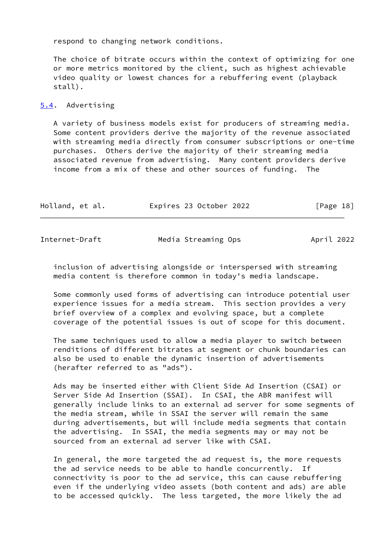respond to changing network conditions.

 The choice of bitrate occurs within the context of optimizing for one or more metrics monitored by the client, such as highest achievable video quality or lowest chances for a rebuffering event (playback stall).

## <span id="page-20-0"></span>[5.4](#page-20-0). Advertising

 A variety of business models exist for producers of streaming media. Some content providers derive the majority of the revenue associated with streaming media directly from consumer subscriptions or one-time purchases. Others derive the majority of their streaming media associated revenue from advertising. Many content providers derive income from a mix of these and other sources of funding. The

| Holland, et al. | Expires 23 October 2022 | [Page 18] |
|-----------------|-------------------------|-----------|
|                 |                         |           |

Internet-Draft Media Streaming Ops April 2022

 inclusion of advertising alongside or interspersed with streaming media content is therefore common in today's media landscape.

 Some commonly used forms of advertising can introduce potential user experience issues for a media stream. This section provides a very brief overview of a complex and evolving space, but a complete coverage of the potential issues is out of scope for this document.

 The same techniques used to allow a media player to switch between renditions of different bitrates at segment or chunk boundaries can also be used to enable the dynamic insertion of advertisements (herafter referred to as "ads").

 Ads may be inserted either with Client Side Ad Insertion (CSAI) or Server Side Ad Insertion (SSAI). In CSAI, the ABR manifest will generally include links to an external ad server for some segments of the media stream, while in SSAI the server will remain the same during advertisements, but will include media segments that contain the advertising. In SSAI, the media segments may or may not be sourced from an external ad server like with CSAI.

 In general, the more targeted the ad request is, the more requests the ad service needs to be able to handle concurrently. If connectivity is poor to the ad service, this can cause rebuffering even if the underlying video assets (both content and ads) are able to be accessed quickly. The less targeted, the more likely the ad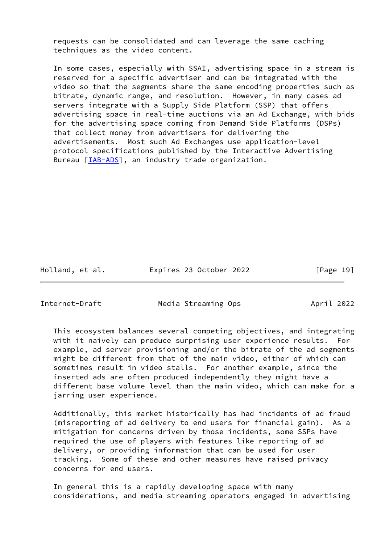requests can be consolidated and can leverage the same caching techniques as the video content.

 In some cases, especially with SSAI, advertising space in a stream is reserved for a specific advertiser and can be integrated with the video so that the segments share the same encoding properties such as bitrate, dynamic range, and resolution. However, in many cases ad servers integrate with a Supply Side Platform (SSP) that offers advertising space in real-time auctions via an Ad Exchange, with bids for the advertising space coming from Demand Side Platforms (DSPs) that collect money from advertisers for delivering the advertisements. Most such Ad Exchanges use application-level protocol specifications published by the Interactive Advertising Bureau [\[IAB-ADS](#page-39-5)], an industry trade organization.

Holland, et al. **Expires 23 October 2022** [Page 19]

<span id="page-21-0"></span>

Internet-Draft Media Streaming Ops April 2022

 This ecosystem balances several competing objectives, and integrating with it naively can produce surprising user experience results. For example, ad server provisioning and/or the bitrate of the ad segments might be different from that of the main video, either of which can sometimes result in video stalls. For another example, since the inserted ads are often produced independently they might have a different base volume level than the main video, which can make for a jarring user experience.

 Additionally, this market historically has had incidents of ad fraud (misreporting of ad delivery to end users for financial gain). As a mitigation for concerns driven by those incidents, some SSPs have required the use of players with features like reporting of ad delivery, or providing information that can be used for user tracking. Some of these and other measures have raised privacy concerns for end users.

 In general this is a rapidly developing space with many considerations, and media streaming operators engaged in advertising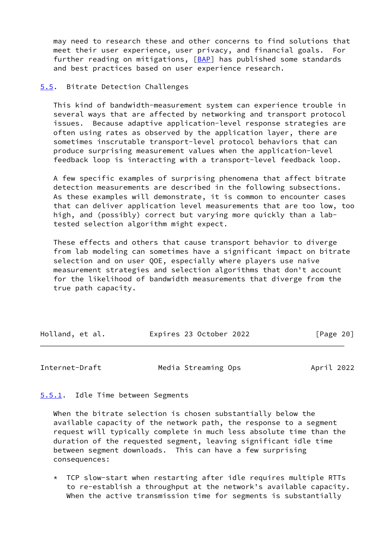may need to research these and other concerns to find solutions that meet their user experience, user privacy, and financial goals. For further reading on mitigations, [\[BAP](#page-36-6)] has published some standards and best practices based on user experience research.

#### <span id="page-22-0"></span>[5.5](#page-22-0). Bitrate Detection Challenges

 This kind of bandwidth-measurement system can experience trouble in several ways that are affected by networking and transport protocol issues. Because adaptive application-level response strategies are often using rates as observed by the application layer, there are sometimes inscrutable transport-level protocol behaviors that can produce surprising measurement values when the application-level feedback loop is interacting with a transport-level feedback loop.

 A few specific examples of surprising phenomena that affect bitrate detection measurements are described in the following subsections. As these examples will demonstrate, it is common to encounter cases that can deliver application level measurements that are too low, too high, and (possibly) correct but varying more quickly than a lab tested selection algorithm might expect.

 These effects and others that cause transport behavior to diverge from lab modeling can sometimes have a significant impact on bitrate selection and on user QOE, especially where players use naive measurement strategies and selection algorithms that don't account for the likelihood of bandwidth measurements that diverge from the true path capacity.

| Holland, et al. | Expires 23 October 2022 | [Page 20] |
|-----------------|-------------------------|-----------|
|                 |                         |           |

<span id="page-22-2"></span>Internet-Draft Media Streaming Ops April 2022

### <span id="page-22-1"></span>[5.5.1](#page-22-1). Idle Time between Segments

 When the bitrate selection is chosen substantially below the available capacity of the network path, the response to a segment request will typically complete in much less absolute time than the duration of the requested segment, leaving significant idle time between segment downloads. This can have a few surprising consequences:

 \* TCP slow-start when restarting after idle requires multiple RTTs to re-establish a throughput at the network's available capacity. When the active transmission time for segments is substantially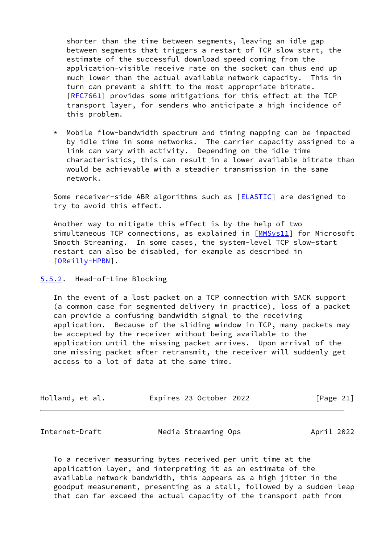shorter than the time between segments, leaving an idle gap between segments that triggers a restart of TCP slow-start, the estimate of the successful download speed coming from the application-visible receive rate on the socket can thus end up much lower than the actual available network capacity. This in turn can prevent a shift to the most appropriate bitrate. [[RFC7661\]](https://datatracker.ietf.org/doc/pdf/rfc7661) provides some mitigations for this effect at the TCP transport layer, for senders who anticipate a high incidence of this problem.

 \* Mobile flow-bandwidth spectrum and timing mapping can be impacted by idle time in some networks. The carrier capacity assigned to a link can vary with activity. Depending on the idle time characteristics, this can result in a lower available bitrate than would be achievable with a steadier transmission in the same network.

Some receiver-side ABR algorithms such as [[ELASTIC](#page-37-4)] are designed to try to avoid this effect.

 Another way to mitigate this effect is by the help of two simultaneous TCP connections, as explained in [[MMSys11](#page-40-6)] for Microsoft Smooth Streaming. In some cases, the system-level TCP slow-start restart can also be disabled, for example as described in [\[OReilly-HPBN](#page-41-2)].

<span id="page-23-0"></span>[5.5.2](#page-23-0). Head-of-Line Blocking

 In the event of a lost packet on a TCP connection with SACK support (a common case for segmented delivery in practice), loss of a packet can provide a confusing bandwidth signal to the receiving application. Because of the sliding window in TCP, many packets may be accepted by the receiver without being available to the application until the missing packet arrives. Upon arrival of the one missing packet after retransmit, the receiver will suddenly get access to a lot of data at the same time.

| Holland, et al. | Expires 23 October 2022 | [Page 21] |
|-----------------|-------------------------|-----------|
|-----------------|-------------------------|-----------|

<span id="page-23-1"></span>Internet-Draft Media Streaming Ops April 2022

 To a receiver measuring bytes received per unit time at the application layer, and interpreting it as an estimate of the available network bandwidth, this appears as a high jitter in the goodput measurement, presenting as a stall, followed by a sudden leap that can far exceed the actual capacity of the transport path from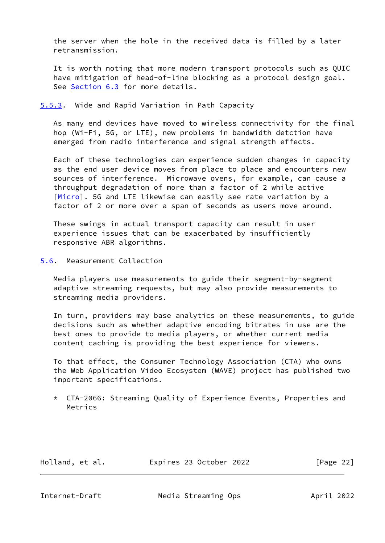the server when the hole in the received data is filled by a later retransmission.

 It is worth noting that more modern transport protocols such as QUIC have mitigation of head-of-line blocking as a protocol design goal. See [Section 6.3](#page-29-0) for more details.

## <span id="page-24-0"></span>[5.5.3](#page-24-0). Wide and Rapid Variation in Path Capacity

 As many end devices have moved to wireless connectivity for the final hop (Wi-Fi, 5G, or LTE), new problems in bandwidth detction have emerged from radio interference and signal strength effects.

 Each of these technologies can experience sudden changes in capacity as the end user device moves from place to place and encounters new sources of interference. Microwave ovens, for example, can cause a throughput degradation of more than a factor of 2 while active [\[Micro](#page-40-7)]. 5G and LTE likewise can easily see rate variation by a factor of 2 or more over a span of seconds as users move around.

 These swings in actual transport capacity can result in user experience issues that can be exacerbated by insufficiently responsive ABR algorithms.

# <span id="page-24-1"></span>[5.6](#page-24-1). Measurement Collection

 Media players use measurements to guide their segment-by-segment adaptive streaming requests, but may also provide measurements to streaming media providers.

 In turn, providers may base analytics on these measurements, to guide decisions such as whether adaptive encoding bitrates in use are the best ones to provide to media players, or whether current media content caching is providing the best experience for viewers.

 To that effect, the Consumer Technology Association (CTA) who owns the Web Application Video Ecosystem (WAVE) project has published two important specifications.

 \* CTA-2066: Streaming Quality of Experience Events, Properties and Metrics

Holland, et al. Expires 23 October 2022 [Page 22]

<span id="page-24-2"></span>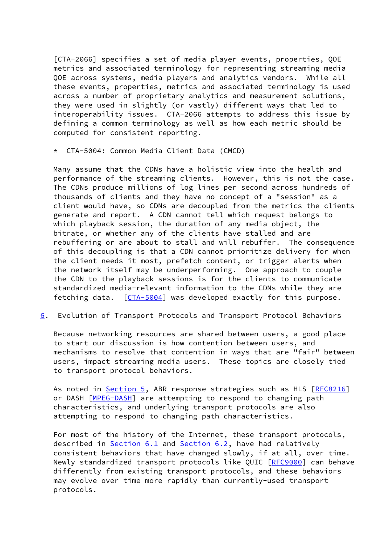[CTA-2066] specifies a set of media player events, properties, QOE metrics and associated terminology for representing streaming media QOE across systems, media players and analytics vendors. While all these events, properties, metrics and associated terminology is used across a number of proprietary analytics and measurement solutions, they were used in slightly (or vastly) different ways that led to interoperability issues. CTA-2066 attempts to address this issue by defining a common terminology as well as how each metric should be computed for consistent reporting.

CTA-5004: Common Media Client Data (CMCD)

 Many assume that the CDNs have a holistic view into the health and performance of the streaming clients. However, this is not the case. The CDNs produce millions of log lines per second across hundreds of thousands of clients and they have no concept of a "session" as a client would have, so CDNs are decoupled from the metrics the clients generate and report. A CDN cannot tell which request belongs to which playback session, the duration of any media object, the bitrate, or whether any of the clients have stalled and are rebuffering or are about to stall and will rebuffer. The consequence of this decoupling is that a CDN cannot prioritize delivery for when the client needs it most, prefetch content, or trigger alerts when the network itself may be underperforming. One approach to couple the CDN to the playback sessions is for the clients to communicate standardized media-relevant information to the CDNs while they are fetching data. [\[CTA-5004](#page-37-5)] was developed exactly for this purpose.

<span id="page-25-0"></span>[6](#page-25-0). Evolution of Transport Protocols and Transport Protocol Behaviors

 Because networking resources are shared between users, a good place to start our discussion is how contention between users, and mechanisms to resolve that contention in ways that are "fair" between users, impact streaming media users. These topics are closely tied to transport protocol behaviors.

As noted in [Section 5,](#page-18-2) ABR response strategies such as HLS [[RFC8216\]](https://datatracker.ietf.org/doc/pdf/rfc8216) or DASH [\[MPEG-DASH](#page-40-5)] are attempting to respond to changing path characteristics, and underlying transport protocols are also attempting to respond to changing path characteristics.

 For most of the history of the Internet, these transport protocols, described in [Section 6.1](#page-26-0) and [Section 6.2](#page-27-0), have had relatively consistent behaviors that have changed slowly, if at all, over time. Newly standardized transport protocols like QUIC [\[RFC9000](https://datatracker.ietf.org/doc/pdf/rfc9000)] can behave differently from existing transport protocols, and these behaviors may evolve over time more rapidly than currently-used transport protocols.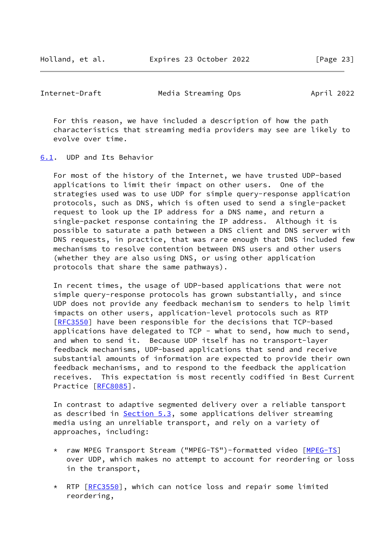Holland, et al. Expires 23 October 2022 [Page 23]

<span id="page-26-1"></span>Internet-Draft Media Streaming Ops April 2022

 For this reason, we have included a description of how the path characteristics that streaming media providers may see are likely to evolve over time.

<span id="page-26-0"></span>[6.1](#page-26-0). UDP and Its Behavior

 For most of the history of the Internet, we have trusted UDP-based applications to limit their impact on other users. One of the strategies used was to use UDP for simple query-response application protocols, such as DNS, which is often used to send a single-packet request to look up the IP address for a DNS name, and return a single-packet response containing the IP address. Although it is possible to saturate a path between a DNS client and DNS server with DNS requests, in practice, that was rare enough that DNS included few mechanisms to resolve contention between DNS users and other users (whether they are also using DNS, or using other application protocols that share the same pathways).

 In recent times, the usage of UDP-based applications that were not simple query-response protocols has grown substantially, and since UDP does not provide any feedback mechanism to senders to help limit impacts on other users, application-level protocols such as RTP [\[RFC3550](https://datatracker.ietf.org/doc/pdf/rfc3550)] have been responsible for the decisions that TCP-based applications have delegated to TCP - what to send, how much to send, and when to send it. Because UDP itself has no transport-layer feedback mechanisms, UDP-based applications that send and receive substantial amounts of information are expected to provide their own feedback mechanisms, and to respond to the feedback the application receives. This expectation is most recently codified in Best Current Practice [\[RFC8085](https://datatracker.ietf.org/doc/pdf/rfc8085)].

 In contrast to adaptive segmented delivery over a reliable tansport as described in [Section 5.3](#page-19-2), some applications deliver streaming media using an unreliable transport, and rely on a variety of approaches, including:

- \* raw MPEG Transport Stream ("MPEG-TS")-formatted video [\[MPEG-TS](#page-41-3)] over UDP, which makes no attempt to account for reordering or loss in the transport,
- \* RTP [\[RFC3550](https://datatracker.ietf.org/doc/pdf/rfc3550)], which can notice loss and repair some limited reordering,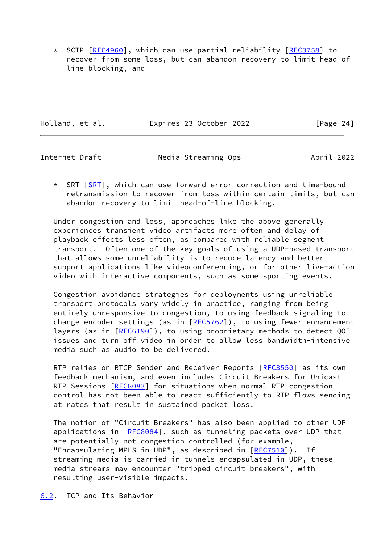\* SCTP [\[RFC4960](https://datatracker.ietf.org/doc/pdf/rfc4960)], which can use partial reliability [\[RFC3758](https://datatracker.ietf.org/doc/pdf/rfc3758)] to recover from some loss, but can abandon recovery to limit head-of line blocking, and

|  | Holland, et al. | Expires 23 October 2022 | [Page 24] |
|--|-----------------|-------------------------|-----------|
|--|-----------------|-------------------------|-----------|

<span id="page-27-1"></span>Internet-Draft Media Streaming Ops April 2022

 \* SRT [\[SRT](#page-45-2)], which can use forward error correction and time-bound retransmission to recover from loss within certain limits, but can abandon recovery to limit head-of-line blocking.

 Under congestion and loss, approaches like the above generally experiences transient video artifacts more often and delay of playback effects less often, as compared with reliable segment transport. Often one of the key goals of using a UDP-based transport that allows some unreliability is to reduce latency and better support applications like videoconferencing, or for other live-action video with interactive components, such as some sporting events.

 Congestion avoidance strategies for deployments using unreliable transport protocols vary widely in practice, ranging from being entirely unresponsive to congestion, to using feedback signaling to change encoder settings (as in  $[REC5762]$ ), to using fewer enhancement layers (as in [[RFC6190](https://datatracker.ietf.org/doc/pdf/rfc6190)]), to using proprietary methods to detect QOE issues and turn off video in order to allow less bandwidth-intensive media such as audio to be delivered.

RTP relies on RTCP Sender and Receiver Reports [\[RFC3550](https://datatracker.ietf.org/doc/pdf/rfc3550)] as its own feedback mechanism, and even includes Circuit Breakers for Unicast RTP Sessions [\[RFC8083](https://datatracker.ietf.org/doc/pdf/rfc8083)] for situations when normal RTP congestion control has not been able to react sufficiently to RTP flows sending at rates that result in sustained packet loss.

 The notion of "Circuit Breakers" has also been applied to other UDP applications in [\[RFC8084](https://datatracker.ietf.org/doc/pdf/rfc8084)], such as tunneling packets over UDP that are potentially not congestion-controlled (for example, "Encapsulating MPLS in UDP", as described in [\[RFC7510](https://datatracker.ietf.org/doc/pdf/rfc7510)]). If streaming media is carried in tunnels encapsulated in UDP, these media streams may encounter "tripped circuit breakers", with resulting user-visible impacts.

<span id="page-27-0"></span>[6.2](#page-27-0). TCP and Its Behavior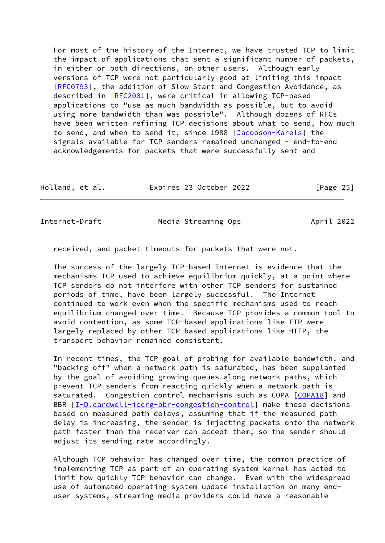For most of the history of the Internet, we have trusted TCP to limit the impact of applications that sent a significant number of packets, in either or both directions, on other users. Although early versions of TCP were not particularly good at limiting this impact [\[RFC0793](https://datatracker.ietf.org/doc/pdf/rfc0793)], the addition of Slow Start and Congestion Avoidance, as described in [\[RFC2001](https://datatracker.ietf.org/doc/pdf/rfc2001)], were critical in allowing TCP-based applications to "use as much bandwidth as possible, but to avoid using more bandwidth than was possible". Although dozens of RFCs have been written refining TCP decisions about what to send, how much to send, and when to send it, since 1988 [\[Jacobson-Karels](#page-39-6)] the signals available for TCP senders remained unchanged - end-to-end acknowledgements for packets that were successfully sent and

| Holland, et al. | Expires 23 October 2022 | [Page 25] |
|-----------------|-------------------------|-----------|
|-----------------|-------------------------|-----------|

<span id="page-28-0"></span>Internet-Draft Media Streaming Ops April 2022

received, and packet timeouts for packets that were not.

 The success of the largely TCP-based Internet is evidence that the mechanisms TCP used to achieve equilibrium quickly, at a point where TCP senders do not interfere with other TCP senders for sustained periods of time, have been largely successful. The Internet continued to work even when the specific mechanisms used to reach equilibrium changed over time. Because TCP provides a common tool to avoid contention, as some TCP-based applications like FTP were largely replaced by other TCP-based applications like HTTP, the transport behavior remained consistent.

 In recent times, the TCP goal of probing for available bandwidth, and "backing off" when a network path is saturated, has been supplanted by the goal of avoiding growing queues along network paths, which prevent TCP senders from reacting quickly when a network path is saturated. Congestion control mechanisms such as COPA [\[COPA18](#page-37-6)] and BBR [\[I-D.cardwell-iccrg-bbr-congestion-control](#page-38-1)] make these decisions based on measured path delays, assuming that if the measured path delay is increasing, the sender is injecting packets onto the network path faster than the receiver can accept them, so the sender should adjust its sending rate accordingly.

 Although TCP behavior has changed over time, the common practice of implementing TCP as part of an operating system kernel has acted to limit how quickly TCP behavior can change. Even with the widespread use of automated operating system update installation on many end user systems, streaming media providers could have a reasonable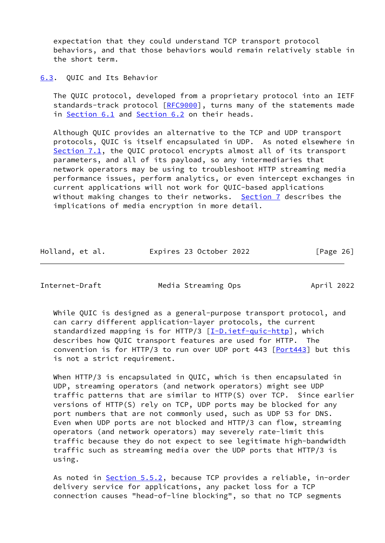expectation that they could understand TCP transport protocol behaviors, and that those behaviors would remain relatively stable in the short term.

<span id="page-29-0"></span>[6.3](#page-29-0). QUIC and Its Behavior

 The QUIC protocol, developed from a proprietary protocol into an IETF standards-track protocol [\[RFC9000](https://datatracker.ietf.org/doc/pdf/rfc9000)], turns many of the statements made in [Section 6.1](#page-26-0) and [Section 6.2](#page-27-0) on their heads.

 Although QUIC provides an alternative to the TCP and UDP transport protocols, QUIC is itself encapsulated in UDP. As noted elsewhere in [Section 7.1](#page-32-0), the QUIC protocol encrypts almost all of its transport parameters, and all of its payload, so any intermediaries that network operators may be using to troubleshoot HTTP streaming media performance issues, perform analytics, or even intercept exchanges in current applications will not work for QUIC-based applications without making changes to their networks. [Section 7](#page-31-0) describes the implications of media encryption in more detail.

Holland, et al. Expires 23 October 2022 [Page 26]

Internet-Draft Media Streaming Ops April 2022

 While QUIC is designed as a general-purpose transport protocol, and can carry different application-layer protocols, the current standardized mapping is for HTTP/3 [[I-D.ietf-quic-http\]](#page-38-2), which describes how QUIC transport features are used for HTTP. The convention is for HTTP/3 to run over UDP port 443  $[Port443]$  $[Port443]$  $[Port443]$  but this is not a strict requirement.

When HTTP/3 is encapsulated in QUIC, which is then encapsulated in UDP, streaming operators (and network operators) might see UDP traffic patterns that are similar to HTTP(S) over TCP. Since earlier versions of HTTP(S) rely on TCP, UDP ports may be blocked for any port numbers that are not commonly used, such as UDP 53 for DNS. Even when UDP ports are not blocked and HTTP/3 can flow, streaming operators (and network operators) may severely rate-limit this traffic because they do not expect to see legitimate high-bandwidth traffic such as streaming media over the UDP ports that HTTP/3 is using.

As noted in **Section 5.5.2**, because TCP provides a reliable, in-order delivery service for applications, any packet loss for a TCP connection causes "head-of-line blocking", so that no TCP segments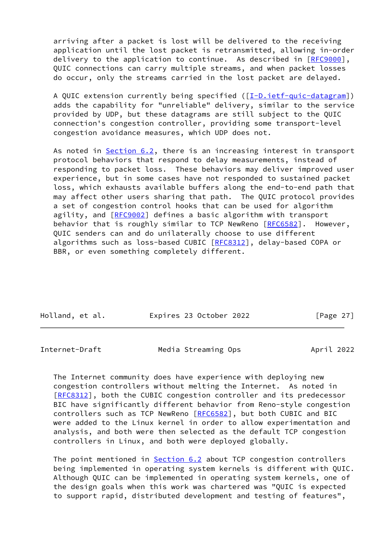arriving after a packet is lost will be delivered to the receiving application until the lost packet is retransmitted, allowing in-order delivery to the application to continue. As described in [[RFC9000](https://datatracker.ietf.org/doc/pdf/rfc9000)], QUIC connections can carry multiple streams, and when packet losses do occur, only the streams carried in the lost packet are delayed.

A QUIC extension currently being specified ([\[I-D.ietf-quic-datagram](#page-38-3)]) adds the capability for "unreliable" delivery, similar to the service provided by UDP, but these datagrams are still subject to the QUIC connection's congestion controller, providing some transport-level congestion avoidance measures, which UDP does not.

As noted in [Section 6.2,](#page-27-0) there is an increasing interest in transport protocol behaviors that respond to delay measurements, instead of responding to packet loss. These behaviors may deliver improved user experience, but in some cases have not responded to sustained packet loss, which exhausts available buffers along the end-to-end path that may affect other users sharing that path. The QUIC protocol provides a set of congestion control hooks that can be used for algorithm agility, and [\[RFC9002](https://datatracker.ietf.org/doc/pdf/rfc9002)] defines a basic algorithm with transport behavior that is roughly similar to TCP NewReno [\[RFC6582](https://datatracker.ietf.org/doc/pdf/rfc6582)]. However, QUIC senders can and do unilaterally choose to use different algorithms such as loss-based CUBIC [\[RFC8312](https://datatracker.ietf.org/doc/pdf/rfc8312)], delay-based COPA or BBR, or even something completely different.

| Holland, et al. | Expires 23 October 2022 | [Page $27$ ] |
|-----------------|-------------------------|--------------|

<span id="page-30-0"></span>Internet-Draft Media Streaming Ops April 2022

 The Internet community does have experience with deploying new congestion controllers without melting the Internet. As noted in [\[RFC8312](https://datatracker.ietf.org/doc/pdf/rfc8312)], both the CUBIC congestion controller and its predecessor BIC have significantly different behavior from Reno-style congestion controllers such as TCP NewReno [\[RFC6582](https://datatracker.ietf.org/doc/pdf/rfc6582)], but both CUBIC and BIC were added to the Linux kernel in order to allow experimentation and analysis, and both were then selected as the default TCP congestion controllers in Linux, and both were deployed globally.

The point mentioned in **[Section 6.2](#page-27-0)** about TCP congestion controllers being implemented in operating system kernels is different with QUIC. Although QUIC can be implemented in operating system kernels, one of the design goals when this work was chartered was "QUIC is expected to support rapid, distributed development and testing of features",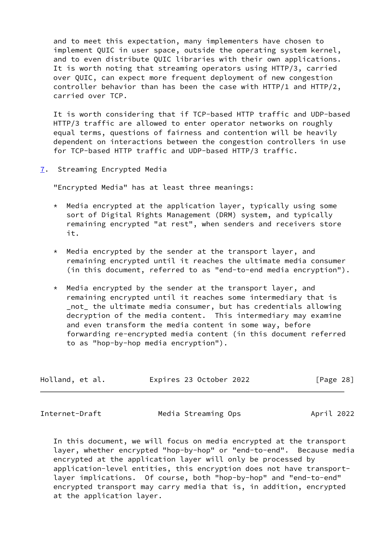and to meet this expectation, many implementers have chosen to implement QUIC in user space, outside the operating system kernel, and to even distribute QUIC libraries with their own applications. It is worth noting that streaming operators using HTTP/3, carried over QUIC, can expect more frequent deployment of new congestion controller behavior than has been the case with HTTP/1 and HTTP/2, carried over TCP.

 It is worth considering that if TCP-based HTTP traffic and UDP-based HTTP/3 traffic are allowed to enter operator networks on roughly equal terms, questions of fairness and contention will be heavily dependent on interactions between the congestion controllers in use for TCP-based HTTP traffic and UDP-based HTTP/3 traffic.

<span id="page-31-0"></span>[7](#page-31-0). Streaming Encrypted Media

"Encrypted Media" has at least three meanings:

- $*$  Media encrypted at the application layer, typically using some sort of Digital Rights Management (DRM) system, and typically remaining encrypted "at rest", when senders and receivers store it.
- \* Media encrypted by the sender at the transport layer, and remaining encrypted until it reaches the ultimate media consumer (in this document, referred to as "end-to-end media encryption").
- \* Media encrypted by the sender at the transport layer, and remaining encrypted until it reaches some intermediary that is \_not\_ the ultimate media consumer, but has credentials allowing decryption of the media content. This intermediary may examine and even transform the media content in some way, before forwarding re-encrypted media content (in this document referred to as "hop-by-hop media encryption").

| Holland, et al. | Expires 23 October 2022 | [Page 28] |  |
|-----------------|-------------------------|-----------|--|
|                 |                         |           |  |

<span id="page-31-1"></span>Internet-Draft Media Streaming Ops April 2022

 In this document, we will focus on media encrypted at the transport layer, whether encrypted "hop-by-hop" or "end-to-end". Because media encrypted at the application layer will only be processed by application-level entities, this encryption does not have transport layer implications. Of course, both "hop-by-hop" and "end-to-end" encrypted transport may carry media that is, in addition, encrypted at the application layer.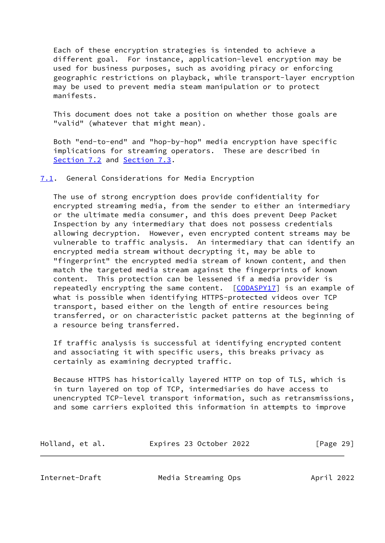Each of these encryption strategies is intended to achieve a different goal. For instance, application-level encryption may be used for business purposes, such as avoiding piracy or enforcing geographic restrictions on playback, while transport-layer encryption may be used to prevent media steam manipulation or to protect manifests.

 This document does not take a position on whether those goals are "valid" (whatever that might mean).

 Both "end-to-end" and "hop-by-hop" media encryption have specific implications for streaming operators. These are described in [Section 7.2](#page-33-0) and [Section 7.3](#page-35-0).

<span id="page-32-0"></span>[7.1](#page-32-0). General Considerations for Media Encryption

 The use of strong encryption does provide confidentiality for encrypted streaming media, from the sender to either an intermediary or the ultimate media consumer, and this does prevent Deep Packet Inspection by any intermediary that does not possess credentials allowing decryption. However, even encrypted content streams may be vulnerable to traffic analysis. An intermediary that can identify an encrypted media stream without decrypting it, may be able to "fingerprint" the encrypted media stream of known content, and then match the targeted media stream against the fingerprints of known content. This protection can be lessened if a media provider is repeatedly encrypting the same content. [\[CODASPY17\]](#page-37-7) is an example of what is possible when identifying HTTPS-protected videos over TCP transport, based either on the length of entire resources being transferred, or on characteristic packet patterns at the beginning of a resource being transferred.

 If traffic analysis is successful at identifying encrypted content and associating it with specific users, this breaks privacy as certainly as examining decrypted traffic.

 Because HTTPS has historically layered HTTP on top of TLS, which is in turn layered on top of TCP, intermediaries do have access to unencrypted TCP-level transport information, such as retransmissions, and some carriers exploited this information in attempts to improve

| Holland, et al. | Expires 23 October 2022 | [Page 29] |
|-----------------|-------------------------|-----------|
|-----------------|-------------------------|-----------|

<span id="page-32-1"></span>Internet-Draft Media Streaming Ops April 2022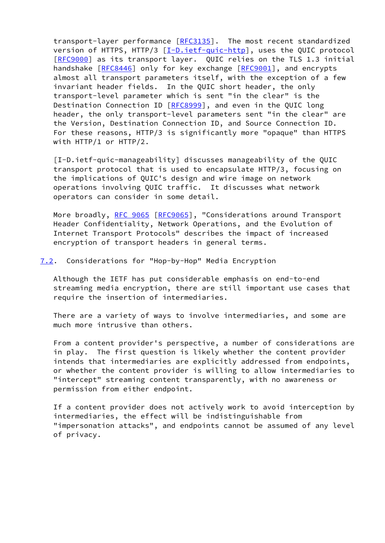transport-layer performance [\[RFC3135](https://datatracker.ietf.org/doc/pdf/rfc3135)]. The most recent standardized version of HTTPS, HTTP/3 [\[I-D.ietf-quic-http\]](#page-38-2), uses the QUIC protocol [\[RFC9000](https://datatracker.ietf.org/doc/pdf/rfc9000)] as its transport layer. QUIC relies on the TLS 1.3 initial handshake [[RFC8446](https://datatracker.ietf.org/doc/pdf/rfc8446)] only for key exchange [[RFC9001](https://datatracker.ietf.org/doc/pdf/rfc9001)], and encrypts almost all transport parameters itself, with the exception of a few invariant header fields. In the QUIC short header, the only transport-level parameter which is sent "in the clear" is the Destination Connection ID [[RFC8999](https://datatracker.ietf.org/doc/pdf/rfc8999)], and even in the QUIC long header, the only transport-level parameters sent "in the clear" are the Version, Destination Connection ID, and Source Connection ID. For these reasons, HTTP/3 is significantly more "opaque" than HTTPS with HTTP/1 or HTTP/2.

<span id="page-33-1"></span> [I-D.ietf-quic-manageability] discusses manageability of the QUIC transport protocol that is used to encapsulate HTTP/3, focusing on the implications of QUIC's design and wire image on network operations involving QUIC traffic. It discusses what network operators can consider in some detail.

More broadly, [RFC 9065](https://datatracker.ietf.org/doc/pdf/rfc9065) [\[RFC9065](https://datatracker.ietf.org/doc/pdf/rfc9065)], "Considerations around Transport Header Confidentiality, Network Operations, and the Evolution of Internet Transport Protocols" describes the impact of increased encryption of transport headers in general terms.

#### <span id="page-33-0"></span>[7.2](#page-33-0). Considerations for "Hop-by-Hop" Media Encryption

 Although the IETF has put considerable emphasis on end-to-end streaming media encryption, there are still important use cases that require the insertion of intermediaries.

 There are a variety of ways to involve intermediaries, and some are much more intrusive than others.

 From a content provider's perspective, a number of considerations are in play. The first question is likely whether the content provider intends that intermediaries are explicitly addressed from endpoints, or whether the content provider is willing to allow intermediaries to "intercept" streaming content transparently, with no awareness or permission from either endpoint.

 If a content provider does not actively work to avoid interception by intermediaries, the effect will be indistinguishable from "impersonation attacks", and endpoints cannot be assumed of any level of privacy.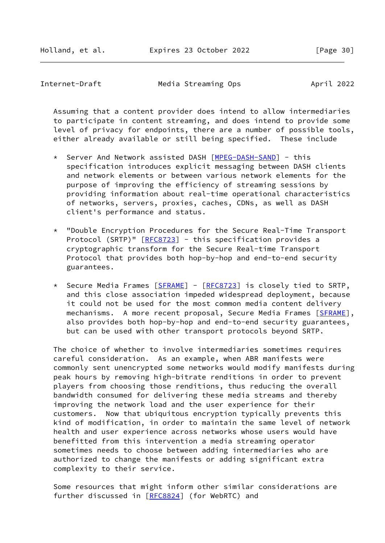Internet-Draft Media Streaming Ops April 2022

 Assuming that a content provider does intend to allow intermediaries to participate in content streaming, and does intend to provide some level of privacy for endpoints, there are a number of possible tools, either already available or still being specified. These include

- Server And Network assisted DASH [\[MPEG-DASH-SAND](#page-41-5)] this specification introduces explicit messaging between DASH clients and network elements or between various network elements for the purpose of improving the efficiency of streaming sessions by providing information about real-time operational characteristics of networks, servers, proxies, caches, CDNs, as well as DASH client's performance and status.
- \* "Double Encryption Procedures for the Secure Real-Time Transport Protocol (SRTP)" [\[RFC8723](https://datatracker.ietf.org/doc/pdf/rfc8723)] - this specification provides a cryptographic transform for the Secure Real-time Transport Protocol that provides both hop-by-hop and end-to-end security guarantees.
- \* Secure Media Frames [\[SFRAME](#page-45-3)] [[RFC8723](https://datatracker.ietf.org/doc/pdf/rfc8723)] is closely tied to SRTP, and this close association impeded widespread deployment, because it could not be used for the most common media content delivery mechanisms. A more recent proposal, Secure Media Frames [\[SFRAME](#page-45-3)], also provides both hop-by-hop and end-to-end security guarantees, but can be used with other transport protocols beyond SRTP.

 The choice of whether to involve intermediaries sometimes requires careful consideration. As an example, when ABR manifests were commonly sent unencrypted some networks would modify manifests during peak hours by removing high-bitrate renditions in order to prevent players from choosing those renditions, thus reducing the overall bandwidth consumed for delivering these media streams and thereby improving the network load and the user experience for their customers. Now that ubiquitous encryption typically prevents this kind of modification, in order to maintain the same level of network health and user experience across networks whose users would have benefitted from this intervention a media streaming operator sometimes needs to choose between adding intermediaries who are authorized to change the manifests or adding significant extra complexity to their service.

 Some resources that might inform other similar considerations are further discussed in [\[RFC8824](https://datatracker.ietf.org/doc/pdf/rfc8824)] (for WebRTC) and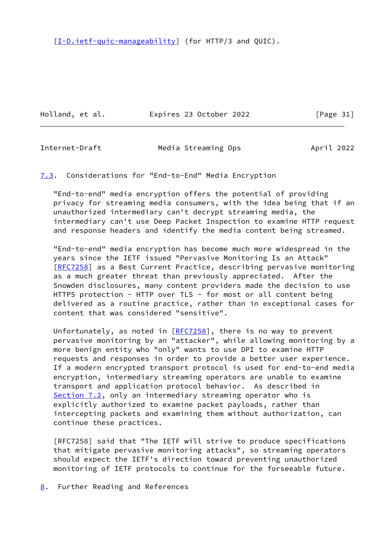[\[I-D.ietf-quic-manageability](#page-33-1)] (for HTTP/3 and QUIC).

Holland, et al. **Expires 23 October 2022** [Page 31]

<span id="page-35-1"></span>

Internet-Draft Media Streaming Ops April 2022

<span id="page-35-0"></span>[7.3](#page-35-0). Considerations for "End-to-End" Media Encryption

 "End-to-end" media encryption offers the potential of providing privacy for streaming media consumers, with the idea being that if an unauthorized intermediary can't decrypt streaming media, the intermediary can't use Deep Packet Inspection to examine HTTP request and response headers and identify the media content being streamed.

 "End-to-end" media encryption has become much more widespread in the years since the IETF issued "Pervasive Monitoring Is an Attack" [\[RFC7258](https://datatracker.ietf.org/doc/pdf/rfc7258)] as a Best Current Practice, describing pervasive monitoring as a much greater threat than previously appreciated. After the Snowden disclosures, many content providers made the decision to use HTTPS protection - HTTP over TLS - for most or all content being delivered as a routine practice, rather than in exceptional cases for content that was considered "sensitive".

Unfortunately, as noted in  $[REC7258]$ , there is no way to prevent pervasive monitoring by an "attacker", while allowing monitoring by a more benign entity who "only" wants to use DPI to examine HTTP requests and responses in order to provide a better user experience. If a modern encrypted transport protocol is used for end-to-end media encryption, intermediary streaming operators are unable to examine transport and application protocol behavior. As described in [Section 7.2](#page-33-0), only an intermediary streaming operator who is explicitly authorized to examine packet payloads, rather than intercepting packets and examining them without authorization, can continue these practices.

 [RFC7258] said that "The IETF will strive to produce specifications that mitigate pervasive monitoring attacks", so streaming operators should expect the IETF's direction toward preventing unauthorized monitoring of IETF protocols to continue for the forseeable future.

<span id="page-35-2"></span>[8](#page-35-2). Further Reading and References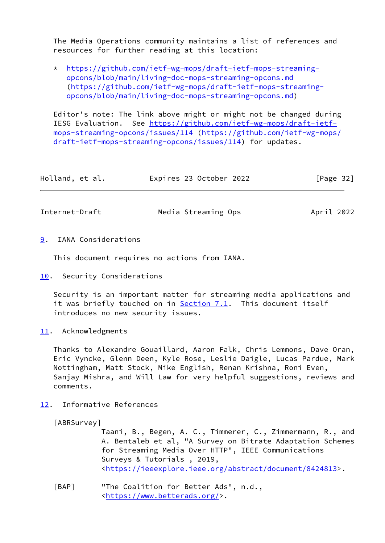The Media Operations community maintains a list of references and resources for further reading at this location:

 \* [https://github.com/ietf-wg-mops/draft-ietf-mops-streaming](https://github.com/ietf-wg-mops/draft-ietf-mops-streaming-opcons/blob/main/living-doc-mops-streaming-opcons.md) [opcons/blob/main/living-doc-mops-streaming-opcons.md](https://github.com/ietf-wg-mops/draft-ietf-mops-streaming-opcons/blob/main/living-doc-mops-streaming-opcons.md) ([https://github.com/ietf-wg-mops/draft-ietf-mops-streaming](https://github.com/ietf-wg-mops/draft-ietf-mops-streaming-opcons/blob/main/living-doc-mops-streaming-opcons.md) [opcons/blob/main/living-doc-mops-streaming-opcons.md\)](https://github.com/ietf-wg-mops/draft-ietf-mops-streaming-opcons/blob/main/living-doc-mops-streaming-opcons.md)

 Editor's note: The link above might or might not be changed during IESG Evaluation. See [https://github.com/ietf-wg-mops/draft-ietf](https://github.com/ietf-wg-mops/draft-ietf-mops-streaming-opcons/issues/114) [mops-streaming-opcons/issues/114](https://github.com/ietf-wg-mops/draft-ietf-mops-streaming-opcons/issues/114) [\(https://github.com/ietf-wg-mops/](https://github.com/ietf-wg-mops/draft-ietf-mops-streaming-opcons/issues/114) [draft-ietf-mops-streaming-opcons/issues/114](https://github.com/ietf-wg-mops/draft-ietf-mops-streaming-opcons/issues/114)) for updates.

| Holland, et al. | Expires 23 October 2022 | [Page $32$ ] |
|-----------------|-------------------------|--------------|
|                 |                         |              |

<span id="page-36-1"></span>Internet-Draft Media Streaming Ops April 2022

<span id="page-36-0"></span>[9](#page-36-0). IANA Considerations

This document requires no actions from IANA.

<span id="page-36-2"></span>[10.](#page-36-2) Security Considerations

 Security is an important matter for streaming media applications and it was briefly touched on in **Section 7.1</u>.** This document itself introduces no new security issues.

<span id="page-36-3"></span>[11.](#page-36-3) Acknowledgments

 Thanks to Alexandre Gouaillard, Aaron Falk, Chris Lemmons, Dave Oran, Eric Vyncke, Glenn Deen, Kyle Rose, Leslie Daigle, Lucas Pardue, Mark Nottingham, Matt Stock, Mike English, Renan Krishna, Roni Even, Sanjay Mishra, and Will Law for very helpful suggestions, reviews and comments.

<span id="page-36-4"></span>[12.](#page-36-4) Informative References

<span id="page-36-5"></span>[ABRSurvey]

 Taani, B., Begen, A. C., Timmerer, C., Zimmermann, R., and A. Bentaleb et al, "A Survey on Bitrate Adaptation Schemes for Streaming Media Over HTTP", IEEE Communications Surveys & Tutorials , 2019, <[https://ieeexplore.ieee.org/abstract/document/8424813>](https://ieeexplore.ieee.org/abstract/document/8424813).

<span id="page-36-6"></span> [BAP] "The Coalition for Better Ads", n.d., <[https://www.betterads.org/>](https://www.betterads.org/).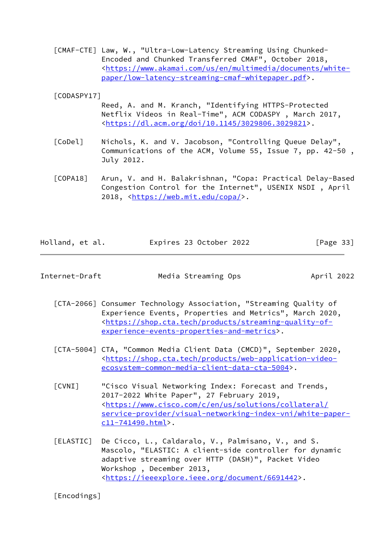<span id="page-37-3"></span> [CMAF-CTE] Law, W., "Ultra-Low-Latency Streaming Using Chunked- Encoded and Chunked Transferred CMAF", October 2018, <[https://www.akamai.com/us/en/multimedia/documents/white](https://www.akamai.com/us/en/multimedia/documents/white-paper/low-latency-streaming-cmaf-whitepaper.pdf) [paper/low-latency-streaming-cmaf-whitepaper.pdf](https://www.akamai.com/us/en/multimedia/documents/white-paper/low-latency-streaming-cmaf-whitepaper.pdf)>.

<span id="page-37-7"></span>[CODASPY17]

- Reed, A. and M. Kranch, "Identifying HTTPS-Protected Netflix Videos in Real-Time", ACM CODASPY , March 2017, <<https://dl.acm.org/doi/10.1145/3029806.3029821>>.
- <span id="page-37-2"></span> [CoDel] Nichols, K. and V. Jacobson, "Controlling Queue Delay", Communications of the ACM, Volume 55, Issue 7, pp. 42-50 , July 2012.
- <span id="page-37-6"></span> [COPA18] Arun, V. and H. Balakrishnan, "Copa: Practical Delay-Based Congestion Control for the Internet", USENIX NSDI , April 2018, [<https://web.mit.edu/copa/>](https://web.mit.edu/copa/).

| Holland, et al. | Expires 23 October 2022 | [Page 33] |
|-----------------|-------------------------|-----------|
|                 |                         |           |

| Internet-Draft | Media Streaming Ops | April 2022 |
|----------------|---------------------|------------|
|----------------|---------------------|------------|

- [CTA-2066] Consumer Technology Association, "Streaming Quality of Experience Events, Properties and Metrics", March 2020, <[https://shop.cta.tech/products/streaming-quality-of](https://shop.cta.tech/products/streaming-quality-of-experience-events-properties-and-metrics) [experience-events-properties-and-metrics>](https://shop.cta.tech/products/streaming-quality-of-experience-events-properties-and-metrics).
- <span id="page-37-5"></span> [CTA-5004] CTA, "Common Media Client Data (CMCD)", September 2020, <[https://shop.cta.tech/products/web-application-video](https://shop.cta.tech/products/web-application-video-ecosystem-common-media-client-data-cta-5004) [ecosystem-common-media-client-data-cta-5004](https://shop.cta.tech/products/web-application-video-ecosystem-common-media-client-data-cta-5004)>.
- <span id="page-37-0"></span> [CVNI] "Cisco Visual Networking Index: Forecast and Trends, 2017-2022 White Paper", 27 February 2019, <[https://www.cisco.com/c/en/us/solutions/collateral/](https://www.cisco.com/c/en/us/solutions/collateral/service-provider/visual-networking-index-vni/white-paper-c11-741490.html) [service-provider/visual-networking-index-vni/white-paper](https://www.cisco.com/c/en/us/solutions/collateral/service-provider/visual-networking-index-vni/white-paper-c11-741490.html) [c11-741490.html](https://www.cisco.com/c/en/us/solutions/collateral/service-provider/visual-networking-index-vni/white-paper-c11-741490.html)>.
- <span id="page-37-4"></span> [ELASTIC] De Cicco, L., Caldaralo, V., Palmisano, V., and S. Mascolo, "ELASTIC: A client-side controller for dynamic adaptive streaming over HTTP (DASH)", Packet Video Workshop , December 2013, <[https://ieeexplore.ieee.org/document/6691442>](https://ieeexplore.ieee.org/document/6691442).

<span id="page-37-1"></span>[Encodings]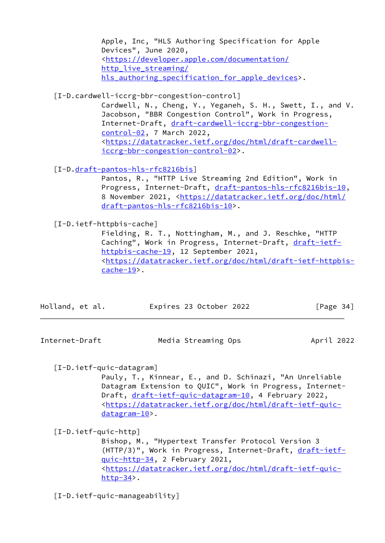Apple, Inc, "HLS Authoring Specification for Apple Devices", June 2020, <[https://developer.apple.com/documentation/](https://developer.apple.com/documentation/http_live_streaming/hls_authoring_specification_for_apple_devices) http live streaming/ hls authoring specification for apple devices>.

<span id="page-38-1"></span>[I-D.cardwell-iccrg-bbr-congestion-control]

 Cardwell, N., Cheng, Y., Yeganeh, S. H., Swett, I., and V. Jacobson, "BBR Congestion Control", Work in Progress, Internet-Draft, [draft-cardwell-iccrg-bbr-congestion](https://datatracker.ietf.org/doc/pdf/draft-cardwell-iccrg-bbr-congestion-control-02) [control-02,](https://datatracker.ietf.org/doc/pdf/draft-cardwell-iccrg-bbr-congestion-control-02) 7 March 2022, <[https://datatracker.ietf.org/doc/html/draft-cardwell](https://datatracker.ietf.org/doc/html/draft-cardwell-iccrg-bbr-congestion-control-02) [iccrg-bbr-congestion-control-02](https://datatracker.ietf.org/doc/html/draft-cardwell-iccrg-bbr-congestion-control-02)>.

[I-D[.draft-pantos-hls-rfc8216bis](https://datatracker.ietf.org/doc/pdf/draft-pantos-hls-rfc8216bis)]

 Pantos, R., "HTTP Live Streaming 2nd Edition", Work in Progress, Internet-Draft, [draft-pantos-hls-rfc8216bis-10](https://datatracker.ietf.org/doc/pdf/draft-pantos-hls-rfc8216bis-10), 8 November 2021, [<https://datatracker.ietf.org/doc/html/](https://datatracker.ietf.org/doc/html/draft-pantos-hls-rfc8216bis-10) [draft-pantos-hls-rfc8216bis-10](https://datatracker.ietf.org/doc/html/draft-pantos-hls-rfc8216bis-10)>.

<span id="page-38-0"></span>[I-D.ietf-httpbis-cache]

 Fielding, R. T., Nottingham, M., and J. Reschke, "HTTP Caching", Work in Progress, Internet-Draft, [draft-ietf](https://datatracker.ietf.org/doc/pdf/draft-ietf-httpbis-cache-19) [httpbis-cache-19,](https://datatracker.ietf.org/doc/pdf/draft-ietf-httpbis-cache-19) 12 September 2021, <[https://datatracker.ietf.org/doc/html/draft-ietf-httpbis](https://datatracker.ietf.org/doc/html/draft-ietf-httpbis-cache-19) [cache-19>](https://datatracker.ietf.org/doc/html/draft-ietf-httpbis-cache-19).

| Holland, et al. |  |  | Expires 23 October 2022 |  | [Page 34] |  |
|-----------------|--|--|-------------------------|--|-----------|--|
|-----------------|--|--|-------------------------|--|-----------|--|

Internet-Draft Media Streaming Ops April 2022

<span id="page-38-3"></span>[I-D.ietf-quic-datagram]

 Pauly, T., Kinnear, E., and D. Schinazi, "An Unreliable Datagram Extension to QUIC", Work in Progress, Internet Draft, [draft-ietf-quic-datagram-10](https://datatracker.ietf.org/doc/pdf/draft-ietf-quic-datagram-10), 4 February 2022, <[https://datatracker.ietf.org/doc/html/draft-ietf-quic](https://datatracker.ietf.org/doc/html/draft-ietf-quic-datagram-10) [datagram-10](https://datatracker.ietf.org/doc/html/draft-ietf-quic-datagram-10)>.

<span id="page-38-2"></span>[I-D.ietf-quic-http]

 Bishop, M., "Hypertext Transfer Protocol Version 3 (HTTP/3)", Work in Progress, Internet-Draft, [draft-ietf](https://datatracker.ietf.org/doc/pdf/draft-ietf-quic-http-34) [quic-http-34,](https://datatracker.ietf.org/doc/pdf/draft-ietf-quic-http-34) 2 February 2021, <[https://datatracker.ietf.org/doc/html/draft-ietf-quic](https://datatracker.ietf.org/doc/html/draft-ietf-quic-http-34) [http-34](https://datatracker.ietf.org/doc/html/draft-ietf-quic-http-34)>.

[I-D.ietf-quic-manageability]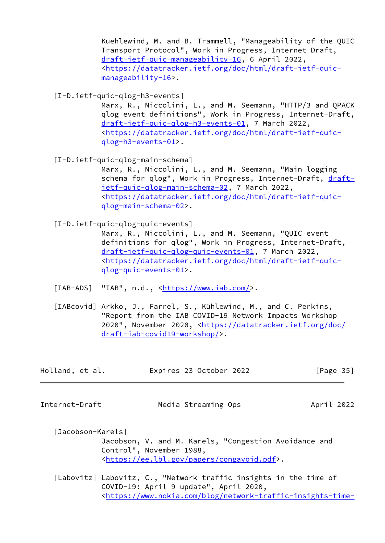Kuehlewind, M. and B. Trammell, "Manageability of the QUIC Transport Protocol", Work in Progress, Internet-Draft, [draft-ietf-quic-manageability-16,](https://datatracker.ietf.org/doc/pdf/draft-ietf-quic-manageability-16) 6 April 2022, <[https://datatracker.ietf.org/doc/html/draft-ietf-quic](https://datatracker.ietf.org/doc/html/draft-ietf-quic-manageability-16) [manageability-16>](https://datatracker.ietf.org/doc/html/draft-ietf-quic-manageability-16).

<span id="page-39-2"></span>[I-D.ietf-quic-qlog-h3-events]

 Marx, R., Niccolini, L., and M. Seemann, "HTTP/3 and QPACK qlog event definitions", Work in Progress, Internet-Draft, [draft-ietf-quic-qlog-h3-events-01,](https://datatracker.ietf.org/doc/pdf/draft-ietf-quic-qlog-h3-events-01) 7 March 2022, <[https://datatracker.ietf.org/doc/html/draft-ietf-quic](https://datatracker.ietf.org/doc/html/draft-ietf-quic-qlog-h3-events-01) [qlog-h3-events-01>](https://datatracker.ietf.org/doc/html/draft-ietf-quic-qlog-h3-events-01).

<span id="page-39-0"></span>[I-D.ietf-quic-qlog-main-schema]

 Marx, R., Niccolini, L., and M. Seemann, "Main logging schema for qlog", Work in Progress, Internet-Draft, [draft](https://datatracker.ietf.org/doc/pdf/draft-ietf-quic-qlog-main-schema-02) [ietf-quic-qlog-main-schema-02,](https://datatracker.ietf.org/doc/pdf/draft-ietf-quic-qlog-main-schema-02) 7 March 2022, <[https://datatracker.ietf.org/doc/html/draft-ietf-quic](https://datatracker.ietf.org/doc/html/draft-ietf-quic-qlog-main-schema-02) [qlog-main-schema-02](https://datatracker.ietf.org/doc/html/draft-ietf-quic-qlog-main-schema-02)>.

<span id="page-39-1"></span>[I-D.ietf-quic-qlog-quic-events]

 Marx, R., Niccolini, L., and M. Seemann, "QUIC event definitions for qlog", Work in Progress, Internet-Draft, [draft-ietf-quic-qlog-quic-events-01](https://datatracker.ietf.org/doc/pdf/draft-ietf-quic-qlog-quic-events-01), 7 March 2022, <[https://datatracker.ietf.org/doc/html/draft-ietf-quic](https://datatracker.ietf.org/doc/html/draft-ietf-quic-qlog-quic-events-01) [qlog-quic-events-01](https://datatracker.ietf.org/doc/html/draft-ietf-quic-qlog-quic-events-01)>.

<span id="page-39-5"></span>[IAB-ADS] "IAB", n.d., [<https://www.iab.com/](https://www.iab.com/)>.

<span id="page-39-4"></span>[IABcovid] Arkko, J., Farrel, S., Kühlewind, M., and C. Perkins, "Report from the IAB COVID-19 Network Impacts Workshop 2020", November 2020, [<https://datatracker.ietf.org/doc/](https://datatracker.ietf.org/doc/draft-iab-covid19-workshop/) [draft-iab-covid19-workshop/](https://datatracker.ietf.org/doc/draft-iab-covid19-workshop/)>.

| Expires 23 October 2022<br>Holland, et al. | [Page 35] |
|--------------------------------------------|-----------|
|--------------------------------------------|-----------|

Internet-Draft Media Streaming Ops April 2022

- <span id="page-39-6"></span> [Jacobson-Karels] Jacobson, V. and M. Karels, "Congestion Avoidance and Control", November 1988, <[https://ee.lbl.gov/papers/congavoid.pdf>](https://ee.lbl.gov/papers/congavoid.pdf).
- <span id="page-39-3"></span>[Labovitz] Labovitz, C., "Network traffic insights in the time of COVID-19: April 9 update", April 2020, <[https://www.nokia.com/blog/network-traffic-insights-time-](https://www.nokia.com/blog/network-traffic-insights-time-covid-19-april-9-update/)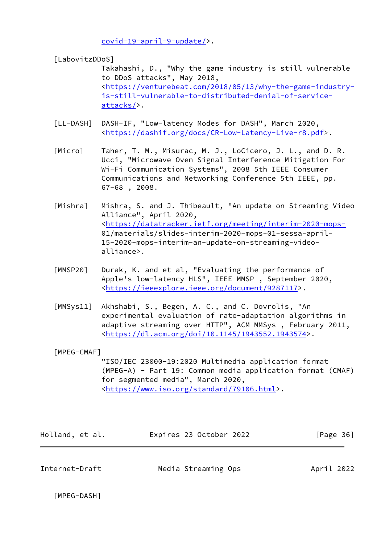[covid-19-april-9-update/>](https://www.nokia.com/blog/network-traffic-insights-time-covid-19-april-9-update/).

<span id="page-40-1"></span>[LabovitzDDoS]

 Takahashi, D., "Why the game industry is still vulnerable to DDoS attacks", May 2018, <[https://venturebeat.com/2018/05/13/why-the-game-industry](https://venturebeat.com/2018/05/13/why-the-game-industry-is-still-vulnerable-to-distributed-denial-of-service-attacks/) [is-still-vulnerable-to-distributed-denial-of-service](https://venturebeat.com/2018/05/13/why-the-game-industry-is-still-vulnerable-to-distributed-denial-of-service-attacks/) [attacks/>](https://venturebeat.com/2018/05/13/why-the-game-industry-is-still-vulnerable-to-distributed-denial-of-service-attacks/).

- <span id="page-40-2"></span> [LL-DASH] DASH-IF, "Low-latency Modes for DASH", March 2020, <[https://dashif.org/docs/CR-Low-Latency-Live-r8.pdf>](https://dashif.org/docs/CR-Low-Latency-Live-r8.pdf).
- <span id="page-40-7"></span>[Micro] Taher, T. M., Misurac, M. J., LoCicero, J. L., and D. R. Ucci, "Microwave Oven Signal Interference Mitigation For Wi-Fi Communication Systems", 2008 5th IEEE Consumer Communications and Networking Conference 5th IEEE, pp. 67-68 , 2008.
- <span id="page-40-0"></span>[Mishra] Mishra, S. and J. Thibeault, "An update on Streaming Video Alliance", April 2020, <<https://datatracker.ietf.org/meeting/interim-2020-mops-> 01/materials/slides-interim-2020-mops-01-sessa-april- 15-2020-mops-interim-an-update-on-streaming-video alliance>.
- <span id="page-40-4"></span> [MMSP20] Durak, K. and et al, "Evaluating the performance of Apple's low-latency HLS", IEEE MMSP , September 2020, <[https://ieeexplore.ieee.org/document/9287117>](https://ieeexplore.ieee.org/document/9287117).
- <span id="page-40-6"></span> [MMSys11] Akhshabi, S., Begen, A. C., and C. Dovrolis, "An experimental evaluation of rate-adaptation algorithms in adaptive streaming over HTTP", ACM MMSys , February 2011, <<https://dl.acm.org/doi/10.1145/1943552.1943574>>.

<span id="page-40-3"></span>[MPEG-CMAF]

 "ISO/IEC 23000-19:2020 Multimedia application format (MPEG-A) - Part 19: Common media application format (CMAF) for segmented media", March 2020, <[https://www.iso.org/standard/79106.html>](https://www.iso.org/standard/79106.html).

| Holland, et al. | Expires 23 October 2022 | [Page 36] |
|-----------------|-------------------------|-----------|
|-----------------|-------------------------|-----------|

Internet-Draft Media Streaming Ops April 2022

<span id="page-40-5"></span>[MPEG-DASH]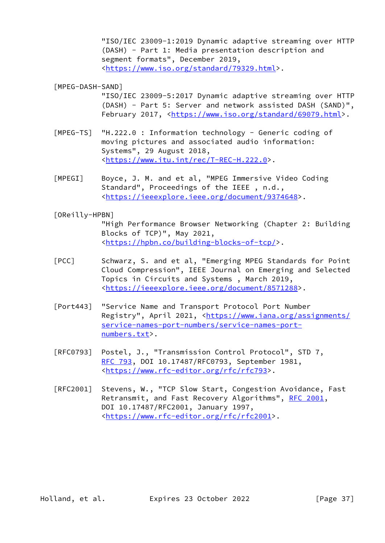"ISO/IEC 23009-1:2019 Dynamic adaptive streaming over HTTP (DASH) - Part 1: Media presentation description and segment formats", December 2019, <[https://www.iso.org/standard/79329.html>](https://www.iso.org/standard/79329.html).

<span id="page-41-5"></span>[MPEG-DASH-SAND]

 "ISO/IEC 23009-5:2017 Dynamic adaptive streaming over HTTP (DASH) - Part 5: Server and network assisted DASH (SAND)", February 2017, <<https://www.iso.org/standard/69079.html>>.

- <span id="page-41-3"></span> [MPEG-TS] "H.222.0 : Information technology - Generic coding of moving pictures and associated audio information: Systems", 29 August 2018, <[https://www.itu.int/rec/T-REC-H.222.0>](https://www.itu.int/rec/T-REC-H.222.0).
- <span id="page-41-0"></span> [MPEGI] Boyce, J. M. and et al, "MPEG Immersive Video Coding Standard", Proceedings of the IEEE , n.d., <[https://ieeexplore.ieee.org/document/9374648>](https://ieeexplore.ieee.org/document/9374648).

<span id="page-41-2"></span>[OReilly-HPBN]

 "High Performance Browser Networking (Chapter 2: Building Blocks of TCP)", May 2021, <[https://hpbn.co/building-blocks-of-tcp/>](https://hpbn.co/building-blocks-of-tcp/).

- <span id="page-41-1"></span> [PCC] Schwarz, S. and et al, "Emerging MPEG Standards for Point Cloud Compression", IEEE Journal on Emerging and Selected Topics in Circuits and Systems , March 2019, <[https://ieeexplore.ieee.org/document/8571288>](https://ieeexplore.ieee.org/document/8571288).
- <span id="page-41-4"></span> [Port443] "Service Name and Transport Protocol Port Number Registry", April 2021, <[https://www.iana.org/assignments/](https://www.iana.org/assignments/service-names-port-numbers/service-names-port-numbers.txt) [service-names-port-numbers/service-names-port](https://www.iana.org/assignments/service-names-port-numbers/service-names-port-numbers.txt) [numbers.txt](https://www.iana.org/assignments/service-names-port-numbers/service-names-port-numbers.txt)>.
- [RFC0793] Postel, J., "Transmission Control Protocol", STD 7, [RFC 793](https://datatracker.ietf.org/doc/pdf/rfc793), DOI 10.17487/RFC0793, September 1981, <[https://www.rfc-editor.org/rfc/rfc793>](https://www.rfc-editor.org/rfc/rfc793).
- [RFC2001] Stevens, W., "TCP Slow Start, Congestion Avoidance, Fast Retransmit, and Fast Recovery Algorithms", [RFC 2001](https://datatracker.ietf.org/doc/pdf/rfc2001), DOI 10.17487/RFC2001, January 1997, <<https://www.rfc-editor.org/rfc/rfc2001>>.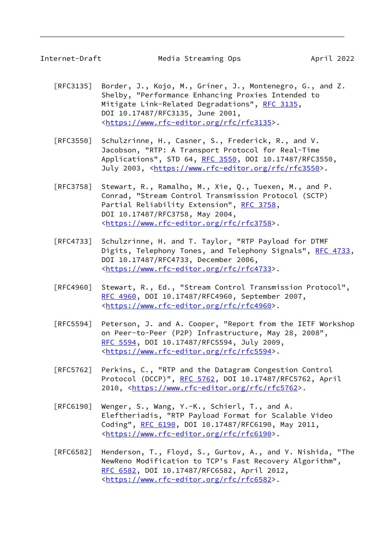- [RFC3135] Border, J., Kojo, M., Griner, J., Montenegro, G., and Z. Shelby, "Performance Enhancing Proxies Intended to Mitigate Link-Related Degradations", [RFC 3135](https://datatracker.ietf.org/doc/pdf/rfc3135), DOI 10.17487/RFC3135, June 2001, <<https://www.rfc-editor.org/rfc/rfc3135>>.
- [RFC3550] Schulzrinne, H., Casner, S., Frederick, R., and V. Jacobson, "RTP: A Transport Protocol for Real-Time Applications", STD 64, [RFC 3550](https://datatracker.ietf.org/doc/pdf/rfc3550), DOI 10.17487/RFC3550, July 2003, <<https://www.rfc-editor.org/rfc/rfc3550>>.
- [RFC3758] Stewart, R., Ramalho, M., Xie, Q., Tuexen, M., and P. Conrad, "Stream Control Transmission Protocol (SCTP) Partial Reliability Extension", [RFC 3758,](https://datatracker.ietf.org/doc/pdf/rfc3758) DOI 10.17487/RFC3758, May 2004, <<https://www.rfc-editor.org/rfc/rfc3758>>.
- [RFC4733] Schulzrinne, H. and T. Taylor, "RTP Payload for DTMF Digits, Telephony Tones, and Telephony Signals", [RFC 4733,](https://datatracker.ietf.org/doc/pdf/rfc4733) DOI 10.17487/RFC4733, December 2006, <<https://www.rfc-editor.org/rfc/rfc4733>>.
- [RFC4960] Stewart, R., Ed., "Stream Control Transmission Protocol", [RFC 4960,](https://datatracker.ietf.org/doc/pdf/rfc4960) DOI 10.17487/RFC4960, September 2007, <<https://www.rfc-editor.org/rfc/rfc4960>>.
- [RFC5594] Peterson, J. and A. Cooper, "Report from the IETF Workshop on Peer-to-Peer (P2P) Infrastructure, May 28, 2008", [RFC 5594,](https://datatracker.ietf.org/doc/pdf/rfc5594) DOI 10.17487/RFC5594, July 2009, <<https://www.rfc-editor.org/rfc/rfc5594>>.
- [RFC5762] Perkins, C., "RTP and the Datagram Congestion Control Protocol (DCCP)", [RFC 5762](https://datatracker.ietf.org/doc/pdf/rfc5762), DOI 10.17487/RFC5762, April 2010, [<https://www.rfc-editor.org/rfc/rfc5762](https://www.rfc-editor.org/rfc/rfc5762)>.
- [RFC6190] Wenger, S., Wang, Y.-K., Schierl, T., and A. Eleftheriadis, "RTP Payload Format for Scalable Video Coding", [RFC 6190,](https://datatracker.ietf.org/doc/pdf/rfc6190) DOI 10.17487/RFC6190, May 2011, <<https://www.rfc-editor.org/rfc/rfc6190>>.
- [RFC6582] Henderson, T., Floyd, S., Gurtov, A., and Y. Nishida, "The NewReno Modification to TCP's Fast Recovery Algorithm", [RFC 6582,](https://datatracker.ietf.org/doc/pdf/rfc6582) DOI 10.17487/RFC6582, April 2012, <<https://www.rfc-editor.org/rfc/rfc6582>>.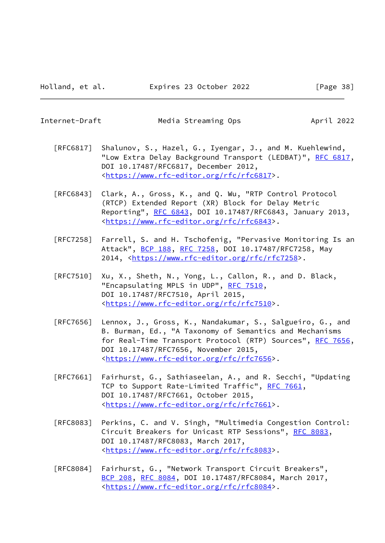Internet-Draft Media Streaming Ops April 2022

- [RFC6817] Shalunov, S., Hazel, G., Iyengar, J., and M. Kuehlewind, "Low Extra Delay Background Transport (LEDBAT)", [RFC 6817,](https://datatracker.ietf.org/doc/pdf/rfc6817) DOI 10.17487/RFC6817, December 2012, <<https://www.rfc-editor.org/rfc/rfc6817>>.
- [RFC6843] Clark, A., Gross, K., and Q. Wu, "RTP Control Protocol (RTCP) Extended Report (XR) Block for Delay Metric Reporting", [RFC 6843,](https://datatracker.ietf.org/doc/pdf/rfc6843) DOI 10.17487/RFC6843, January 2013, <<https://www.rfc-editor.org/rfc/rfc6843>>.
- [RFC7258] Farrell, S. and H. Tschofenig, "Pervasive Monitoring Is an Attack", [BCP 188,](https://datatracker.ietf.org/doc/pdf/bcp188) [RFC 7258](https://datatracker.ietf.org/doc/pdf/rfc7258), DOI 10.17487/RFC7258, May 2014, [<https://www.rfc-editor.org/rfc/rfc7258](https://www.rfc-editor.org/rfc/rfc7258)>.
- [RFC7510] Xu, X., Sheth, N., Yong, L., Callon, R., and D. Black, "Encapsulating MPLS in UDP", [RFC 7510](https://datatracker.ietf.org/doc/pdf/rfc7510), DOI 10.17487/RFC7510, April 2015, <<https://www.rfc-editor.org/rfc/rfc7510>>.
- [RFC7656] Lennox, J., Gross, K., Nandakumar, S., Salgueiro, G., and B. Burman, Ed., "A Taxonomy of Semantics and Mechanisms for Real-Time Transport Protocol (RTP) Sources", [RFC 7656,](https://datatracker.ietf.org/doc/pdf/rfc7656) DOI 10.17487/RFC7656, November 2015, <<https://www.rfc-editor.org/rfc/rfc7656>>.
- [RFC7661] Fairhurst, G., Sathiaseelan, A., and R. Secchi, "Updating TCP to Support Rate-Limited Traffic", [RFC 7661](https://datatracker.ietf.org/doc/pdf/rfc7661), DOI 10.17487/RFC7661, October 2015, <<https://www.rfc-editor.org/rfc/rfc7661>>.
- [RFC8083] Perkins, C. and V. Singh, "Multimedia Congestion Control: Circuit Breakers for Unicast RTP Sessions", [RFC 8083,](https://datatracker.ietf.org/doc/pdf/rfc8083) DOI 10.17487/RFC8083, March 2017, <<https://www.rfc-editor.org/rfc/rfc8083>>.
- [RFC8084] Fairhurst, G., "Network Transport Circuit Breakers", [BCP 208](https://datatracker.ietf.org/doc/pdf/bcp208), [RFC 8084,](https://datatracker.ietf.org/doc/pdf/rfc8084) DOI 10.17487/RFC8084, March 2017, <<https://www.rfc-editor.org/rfc/rfc8084>>.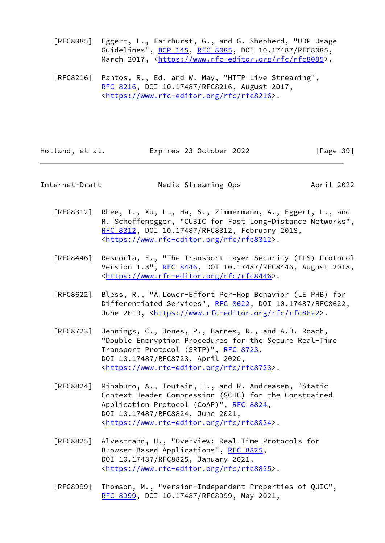[RFC8085] Eggert, L., Fairhurst, G., and G. Shepherd, "UDP Usage Guidelines", [BCP 145](https://datatracker.ietf.org/doc/pdf/bcp145), [RFC 8085](https://datatracker.ietf.org/doc/pdf/rfc8085), DOI 10.17487/RFC8085, March 2017, [<https://www.rfc-editor.org/rfc/rfc8085](https://www.rfc-editor.org/rfc/rfc8085)>.

 [RFC8216] Pantos, R., Ed. and W. May, "HTTP Live Streaming", [RFC 8216,](https://datatracker.ietf.org/doc/pdf/rfc8216) DOI 10.17487/RFC8216, August 2017, <<https://www.rfc-editor.org/rfc/rfc8216>>.

| Holland, et al. | Expires 23 October 2022 | [Page 39] |
|-----------------|-------------------------|-----------|
|-----------------|-------------------------|-----------|

Internet-Draft Media Streaming Ops April 2022

- [RFC8312] Rhee, I., Xu, L., Ha, S., Zimmermann, A., Eggert, L., and R. Scheffenegger, "CUBIC for Fast Long-Distance Networks", [RFC 8312,](https://datatracker.ietf.org/doc/pdf/rfc8312) DOI 10.17487/RFC8312, February 2018, <<https://www.rfc-editor.org/rfc/rfc8312>>.
- [RFC8446] Rescorla, E., "The Transport Layer Security (TLS) Protocol Version 1.3", [RFC 8446](https://datatracker.ietf.org/doc/pdf/rfc8446), DOI 10.17487/RFC8446, August 2018, <<https://www.rfc-editor.org/rfc/rfc8446>>.
- [RFC8622] Bless, R., "A Lower-Effort Per-Hop Behavior (LE PHB) for Differentiated Services", [RFC 8622](https://datatracker.ietf.org/doc/pdf/rfc8622), DOI 10.17487/RFC8622, June 2019, <<https://www.rfc-editor.org/rfc/rfc8622>>.
- [RFC8723] Jennings, C., Jones, P., Barnes, R., and A.B. Roach, "Double Encryption Procedures for the Secure Real-Time Transport Protocol (SRTP)", [RFC 8723,](https://datatracker.ietf.org/doc/pdf/rfc8723) DOI 10.17487/RFC8723, April 2020, <<https://www.rfc-editor.org/rfc/rfc8723>>.
- [RFC8824] Minaburo, A., Toutain, L., and R. Andreasen, "Static Context Header Compression (SCHC) for the Constrained Application Protocol (CoAP)", [RFC 8824](https://datatracker.ietf.org/doc/pdf/rfc8824), DOI 10.17487/RFC8824, June 2021, <<https://www.rfc-editor.org/rfc/rfc8824>>.
- [RFC8825] Alvestrand, H., "Overview: Real-Time Protocols for Browser-Based Applications", [RFC 8825](https://datatracker.ietf.org/doc/pdf/rfc8825), DOI 10.17487/RFC8825, January 2021, <<https://www.rfc-editor.org/rfc/rfc8825>>.
- [RFC8999] Thomson, M., "Version-Independent Properties of QUIC", [RFC 8999,](https://datatracker.ietf.org/doc/pdf/rfc8999) DOI 10.17487/RFC8999, May 2021,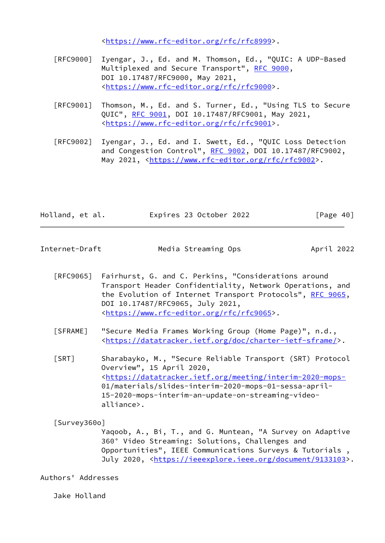<<https://www.rfc-editor.org/rfc/rfc8999>>.

- [RFC9000] Iyengar, J., Ed. and M. Thomson, Ed., "QUIC: A UDP-Based Multiplexed and Secure Transport", [RFC 9000](https://datatracker.ietf.org/doc/pdf/rfc9000), DOI 10.17487/RFC9000, May 2021, <<https://www.rfc-editor.org/rfc/rfc9000>>.
- [RFC9001] Thomson, M., Ed. and S. Turner, Ed., "Using TLS to Secure QUIC", [RFC 9001](https://datatracker.ietf.org/doc/pdf/rfc9001), DOI 10.17487/RFC9001, May 2021, <<https://www.rfc-editor.org/rfc/rfc9001>>.
- [RFC9002] Iyengar, J., Ed. and I. Swett, Ed., "QUIC Loss Detection and Congestion Control", [RFC 9002,](https://datatracker.ietf.org/doc/pdf/rfc9002) DOI 10.17487/RFC9002, May 2021, [<https://www.rfc-editor.org/rfc/rfc9002](https://www.rfc-editor.org/rfc/rfc9002)>.

| Holland, et al. | Expires 23 October 2022 | [Page 40] |
|-----------------|-------------------------|-----------|
|-----------------|-------------------------|-----------|

<span id="page-45-0"></span>Internet-Draft Media Streaming Ops April 2022

- [RFC9065] Fairhurst, G. and C. Perkins, "Considerations around Transport Header Confidentiality, Network Operations, and the Evolution of Internet Transport Protocols", [RFC 9065,](https://datatracker.ietf.org/doc/pdf/rfc9065) DOI 10.17487/RFC9065, July 2021, <<https://www.rfc-editor.org/rfc/rfc9065>>.
- <span id="page-45-3"></span> [SFRAME] "Secure Media Frames Working Group (Home Page)", n.d., <[https://datatracker.ietf.org/doc/charter-ietf-sframe/>](https://datatracker.ietf.org/doc/charter-ietf-sframe/).
- <span id="page-45-2"></span> [SRT] Sharabayko, M., "Secure Reliable Transport (SRT) Protocol Overview", 15 April 2020, <<https://datatracker.ietf.org/meeting/interim-2020-mops-> 01/materials/slides-interim-2020-mops-01-sessa-april- 15-2020-mops-interim-an-update-on-streaming-video alliance>.

<span id="page-45-1"></span>[Survey360o]

 Yaqoob, A., Bi, T., and G. Muntean, "A Survey on Adaptive 360° Video Streaming: Solutions, Challenges and Opportunities", IEEE Communications Surveys & Tutorials , July 2020, <[https://ieeexplore.ieee.org/document/9133103>](https://ieeexplore.ieee.org/document/9133103).

Authors' Addresses

Jake Holland